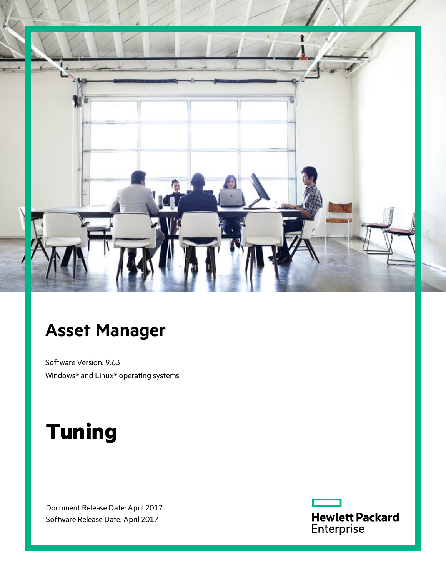

## **Asset Manager**

Software Version: 9.63 Windows® and Linux® operating systems

# **Tuning**

Document Release Date: April 2017 Software Release Date: April 2017

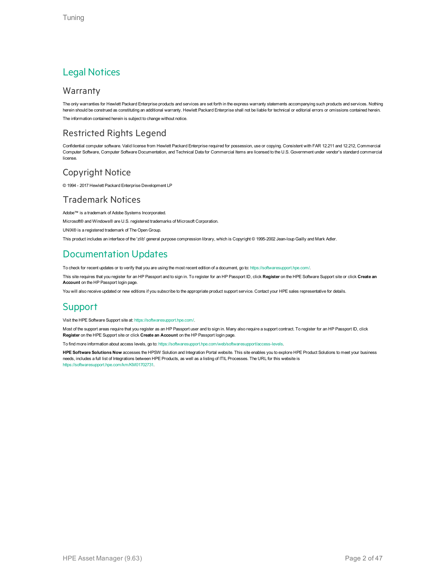### Legal Notices

#### Warranty

The only warranties for Hewlett Packard Enterprise products and services are set forth in the express warranty statements accompanying such products and services. Nothing herein should be construed as constituting an additional warranty. Hewlett Packard Enterprise shall not be liable for technical or editorial errors or omissions contained herein. The information contained herein is subject to change without notice.

### Restricted Rights Legend

Confidential computer software. Valid license from Hewlett Packard Enterprise required for possession, use or copying. Consistent with FAR 12.211 and 12.212, Commercial Computer Software, Computer Software Documentation, and Technical Data for Commercial Items are licensed to the U.S. Government under vendor's standard commercial license.

### Copyright Notice

© 1994 - 2017 Hewlett Packard Enterprise Development LP

### Trademark Notices

Adobe™ is a trademark of Adobe Systems Incorporated.

Microsoft® and Windows® are U.S. registered trademarks of Microsoft Corporation.

UNIX® is a registered trademark of The Open Group.

This product includes an interface of the 'zlib' general purpose compression library, which is Copyright © 1995-2002 Jean-loup Gailly and Mark Adler.

### Documentation Updates

To check for recent updates or to verify that you are using the most recent edition of a document, go to: <https://softwaresupport.hpe.com/>.

This site requires that you register for an HP Passport and to sign in. To register for an HP Passport ID, click **Register** on the HPE Software Support site or click **Create an Account** on the HP Passport login page.

You will also receive updated or new editions if you subscribe to the appropriate product support service. Contact your HPE sales representative for details.

### Support

Visit the HPE Software Support site at: <https://softwaresupport.hpe.com/>.

Most of the support areas require that you register as an HP Passport user and to sign in. Many also require a support contract. To register for an HP Passport ID, click **Register** on the HPE Support site or click **Create an Account** on the HP Passport login page.

To find more information about access levels, go to: <https://softwaresupport.hpe.com/web/softwaresupport/access-levels>.

**HPE Software Solutions Now** accesses the HPSW Solution and Integration Portal website. This site enables you to explore HPE Product Solutions to meet your business needs, includes a full list of Integrations between HPE Products, as well as a listing of ITIL Processes. The URL for this website is [https://softwaresupport.hpe.com/km/KM01702731.](https://softwaresupport.hpe.com/km/KM01702731)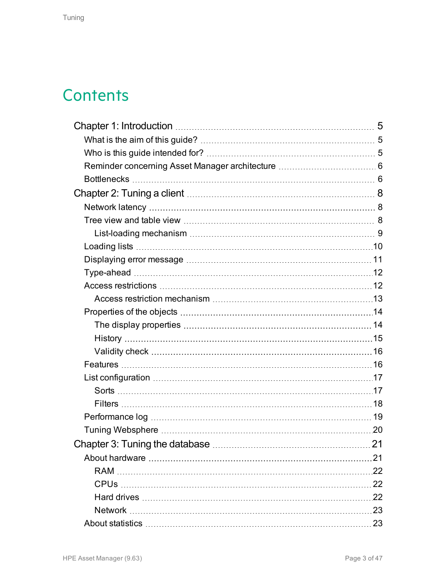## **Contents**

| Chapter 3: Tuning the database | 21 |
|--------------------------------|----|
|                                |    |
|                                |    |
|                                |    |
|                                |    |
|                                |    |
|                                |    |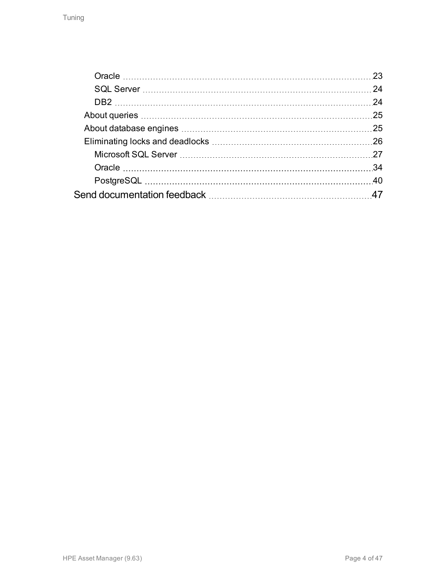| 23  |
|-----|
| 24  |
|     |
| 25  |
| 25  |
|     |
|     |
| -34 |
|     |
|     |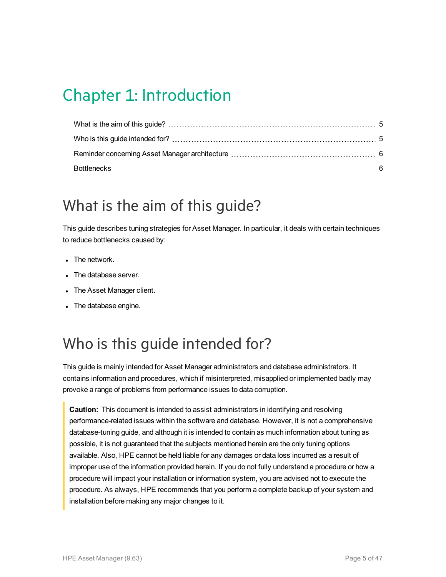## <span id="page-4-0"></span>Chapter 1: Introduction

### <span id="page-4-1"></span>What is the aim of this guide?

This guide describes tuning strategies for Asset Manager. In particular, it deals with certain techniques to reduce bottlenecks caused by:

- $\bullet$  The network.
- The database server.
- The Asset Manager client.
- The database engine.

## <span id="page-4-2"></span>Who is this guide intended for?

This guide is mainly intended for Asset Manager administrators and database administrators. It contains information and procedures, which if misinterpreted, misapplied or implemented badly may provoke a range of problems from performance issues to data corruption.

**Caution:** This document is intended to assist administrators in identifying and resolving performance-related issues within the software and database. However, it is not a comprehensive database-tuning guide, and although it is intended to contain as much information about tuning as possible, it is not guaranteed that the subjects mentioned herein are the only tuning options available. Also, HPE cannot be held liable for any damages or data loss incurred as a result of improper use of the information provided herein. If you do not fully understand a procedure or how a procedure will impact your installation or information system, you are advised not to execute the procedure. As always, HPE recommends that you perform a complete backup of your system and installation before making any major changes to it.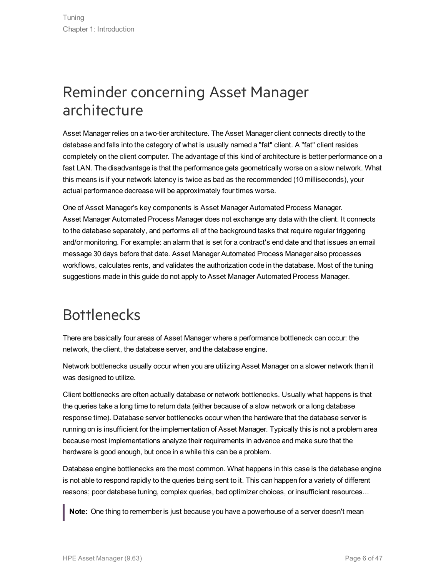### <span id="page-5-0"></span>Reminder concerning Asset Manager architecture

Asset Manager relies on a two-tier architecture. The Asset Manager client connects directly to the database and falls into the category of what is usually named a "fat" client. A "fat" client resides completely on the client computer. The advantage of this kind of architecture is better performance on a fast LAN. The disadvantage is that the performance gets geometrically worse on a slow network. What this means is if your network latency is twice as bad as the recommended (10 milliseconds), your actual performance decrease will be approximately four times worse.

One of Asset Manager's key components is Asset Manager Automated Process Manager. Asset Manager Automated Process Manager does not exchange any data with the client. It connects to the database separately, and performs all of the background tasks that require regular triggering and/or monitoring. For example: an alarm that is set for a contract's end date and that issues an email message 30 days before that date. Asset Manager Automated Process Manager also processes workflows, calculates rents, and validates the authorization code in the database. Most of the tuning suggestions made in this guide do not apply to Asset Manager Automated Process Manager.

### <span id="page-5-1"></span>**Bottlenecks**

There are basically four areas of Asset Manager where a performance bottleneck can occur: the network, the client, the database server, and the database engine.

Network bottlenecks usually occur when you are utilizing Asset Manager on a slower network than it was designed to utilize.

Client bottlenecks are often actually database or network bottlenecks. Usually what happens is that the queries take a long time to return data (either because of a slow network or a long database response time). Database server bottlenecks occur when the hardware that the database server is running on is insufficient for the implementation of Asset Manager. Typically this is not a problem area because most implementations analyze their requirements in advance and make sure that the hardware is good enough, but once in a while this can be a problem.

Database engine bottlenecks are the most common. What happens in this case is the database engine is not able to respond rapidly to the queries being sent to it. This can happen for a variety of different reasons; poor database tuning, complex queries, bad optimizer choices, or insufficient resources...

**Note:** One thing to remember is just because you have a powerhouse of a server doesn't mean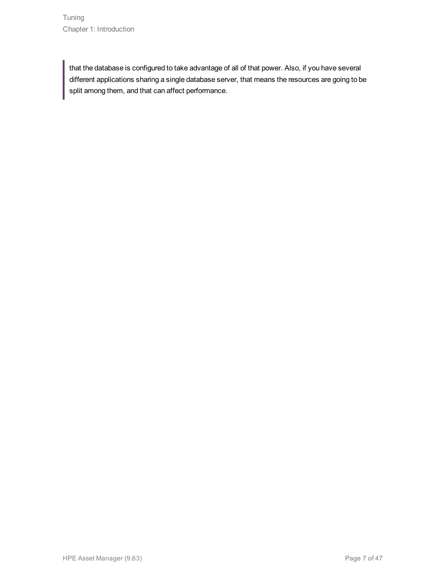that the database is configured to take advantage of all of that power. Also, if you have several different applications sharing a single database server, that means the resources are going to be split among them, and that can affect performance.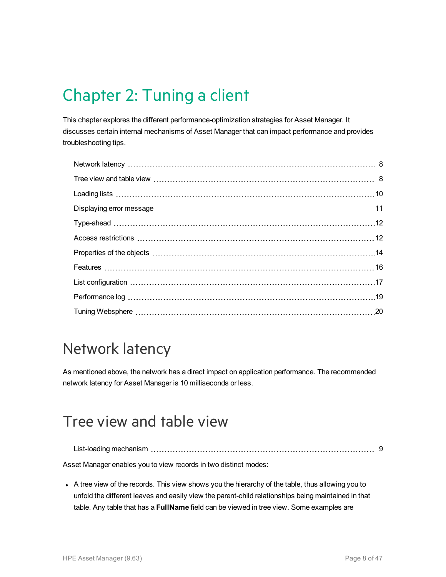## <span id="page-7-0"></span>Chapter 2: Tuning a client

This chapter explores the different performance-optimization strategies for Asset Manager. It discusses certain internal mechanisms of Asset Manager that can impact performance and provides troubleshooting tips.

### <span id="page-7-1"></span>Network latency

As mentioned above, the network has a direct impact on application performance. The recommended network latency for Asset Manager is 10 milliseconds or less.

### <span id="page-7-2"></span>Tree view and table view

List-loading [mechanism](#page-8-0) [9](#page-8-0)

Asset Manager enables you to view records in two distinct modes:

• A tree view of the records. This view shows you the hierarchy of the table, thus allowing you to unfold the different leaves and easily view the parent-child relationships being maintained in that table. Any table that has a **FullName** field can be viewed in tree view. Some examples are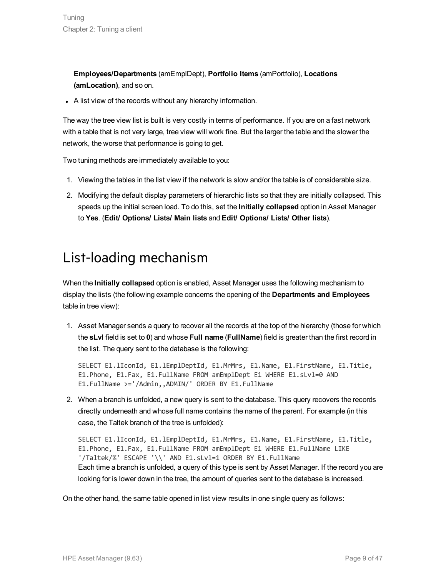**Employees/Departments** (amEmplDept), **Portfolio Items** (amPortfolio), **Locations (amLocation)**, and so on.

• A list view of the records without any hierarchy information.

The way the tree view list is built is very costly in terms of performance. If you are on a fast network with a table that is not very large, tree view will work fine. But the larger the table and the slower the network, the worse that performance is going to get.

Two tuning methods are immediately available to you:

- 1. Viewing the tables in the list view if the network is slow and/or the table is of considerable size.
- 2. Modifying the default display parameters of hierarchic lists so that they are initially collapsed. This speeds up the initial screen load. To do this, set the **Initially collapsed** option in Asset Manager to **Yes**. (**Edit/ Options/ Lists/ Main lists** and **Edit/ Options/ Lists/ Other lists**).

### <span id="page-8-0"></span>List-loading mechanism

When the **Initially collapsed** option is enabled, Asset Manager uses the following mechanism to display the lists (the following example concerns the opening of the **Departments and Employees** table in tree view):

1. Asset Manager sends a query to recover all the records at the top of the hierarchy (those for which the **sLvl** field is set to **0**) and whose **Full name** (**FullName**) field is greater than the first record in the list. The query sent to the database is the following:

SELECT E1.lIconId, E1.lEmplDeptId, E1.MrMrs, E1.Name, E1.FirstName, E1.Title, E1.Phone, E1.Fax, E1.FullName FROM amEmplDept E1 WHERE E1.sLvl=0 AND E1.FullName >='/Admin,,ADMIN/' ORDER BY E1.FullName

2. When a branch is unfolded, a new query is sent to the database. This query recovers the records directly underneath and whose full name contains the name of the parent. For example (in this case, the Taltek branch of the tree is unfolded):

SELECT E1.lIconId, E1.lEmplDeptId, E1.MrMrs, E1.Name, E1.FirstName, E1.Title, E1.Phone, E1.Fax, E1.FullName FROM amEmplDept E1 WHERE E1.FullName LIKE '/Taltek/%' ESCAPE '\\' AND E1.sLvl=1 ORDER BY E1.FullName Each time a branch is unfolded, a query of this type is sent by Asset Manager. If the record you are looking for is lower down in the tree, the amount of queries sent to the database is increased.

On the other hand, the same table opened in list view results in one single query as follows: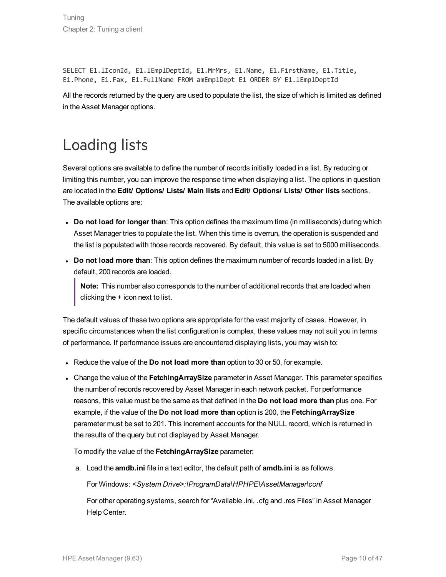SELECT E1.lIconId, E1.lEmplDeptId, E1.MrMrs, E1.Name, E1.FirstName, E1.Title, E1.Phone, E1.Fax, E1.FullName FROM amEmplDept E1 ORDER BY E1.lEmplDeptId

All the records returned by the query are used to populate the list, the size of which is limited as defined in the Asset Manager options.

## <span id="page-9-0"></span>Loading lists

Several options are available to define the number of records initially loaded in a list. By reducing or limiting this number, you can improve the response time when displaying a list. The options in question are located in the **Edit/ Options/ Lists/ Main lists** and **Edit/ Options/ Lists/ Other lists** sections. The available options are:

- <sup>l</sup> **Do not load for longer than**: This option defines the maximum time (in milliseconds) during which Asset Manager tries to populate the list. When this time is overrun, the operation is suspended and the list is populated with those records recovered. By default, this value is set to 5000 milliseconds.
- <sup>l</sup> **Do not load more than**: This option defines the maximum number of records loaded in a list. By default, 200 records are loaded.

**Note:** This number also corresponds to the number of additional records that are loaded when clicking the + icon next to list.

The default values of these two options are appropriate for the vast majority of cases. However, in specific circumstances when the list configuration is complex, these values may not suit you in terms of performance. If performance issues are encountered displaying lists, you may wish to:

- <sup>l</sup> Reduce the value of the **Do not load more than** option to 30 or 50, for example.
- <sup>l</sup> Change the value of the **FetchingArraySize** parameter in Asset Manager. This parameter specifies the number of records recovered by Asset Manager in each network packet. For performance reasons, this value must be the same as that defined in the **Do not load more than** plus one. For example, if the value of the **Do not load more than** option is 200, the **FetchingArraySize** parameter must be set to 201. This increment accounts for the NULL record, which is returned in the results of the query but not displayed by Asset Manager.

To modify the value of the **FetchingArraySize** parameter:

a. Load the **amdb.ini** file in a text editor, the default path of **amdb.ini** is as follows.

For Windows: *<System Drive>:\ProgramData\HPHPE\AssetManager\conf*

For other operating systems, search for "Available .ini, .cfg and .res Files" in Asset Manager Help Center.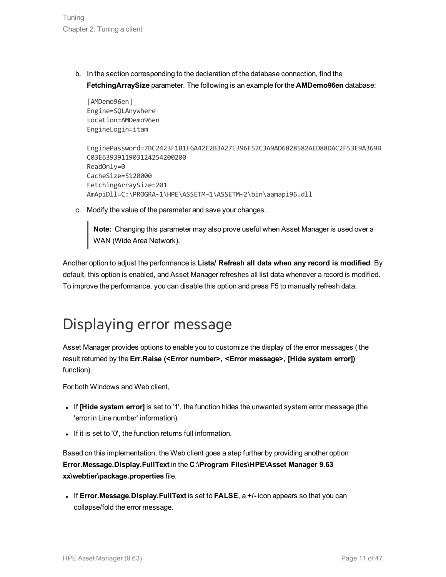Tuning Chapter 2: Tuning a client

> b. In the section corresponding to the declaration of the database connection, find the **FetchingArraySize** parameter. The following is an example for the **AMDemo96en** database:

```
[AMDemo96en]
Engine=SQLAnywhere
Location=AMDemo96en
EngineLogin=itam
```

```
EnginePassword=7BC2423F1B1F6A42E2B3A27E396F52C3A9AD6828582AED88DAC2F53E9A369B
C03E6393911903124254200200
ReadOnly=0
CacheSize=5120000
FetchingArraySize=201
AmApiDll=C:\PROGRA~1\HPE\ASSETM~1\ASSETM~2\bin\aamapi96.dll
```
c. Modify the value of the parameter and save your changes.

**Note:** Changing this parameter may also prove useful when Asset Manager is used over a WAN (Wide Area Network).

Another option to adjust the performance is **Lists/ Refresh all data when any record is modified**. By default, this option is enabled, and Asset Manager refreshes all list data whenever a record is modified. To improve the performance, you can disable this option and press F5 to manually refresh data.

### <span id="page-10-0"></span>Displaying error message

Asset Manager provides options to enable you to customize the display of the error messages ( the result returned by the **Err.Raise (<Error number>, <Error message>, [Hide system error])** function).

For both Windows and Web client,

- <sup>l</sup> If **[Hide system error]** is set to '1', the function hides the unwanted system error message (the 'error in Line number' information).
- . If it is set to '0', the function returns full information.

Based on this implementation, the Web client goes a step further by providing another option **Error.Message.Display.FullText** in the **C:\Program Files\HPE\Asset Manager 9.63 xx\webtier\package.properties** file.

<sup>l</sup> If **Error.Message.Display.FullText** is set to **FALSE**, a **+/-** icon appears so that you can collapse/fold the error message.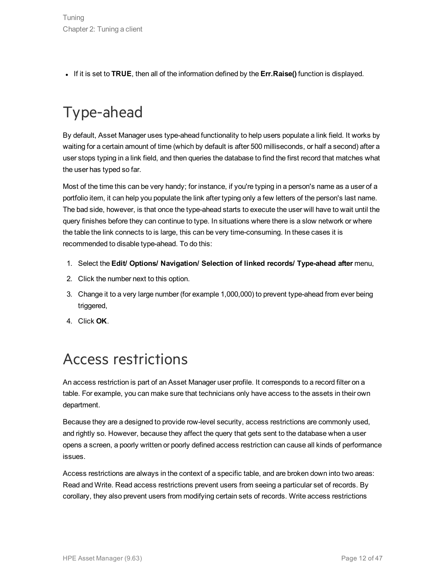<sup>l</sup> If it is set to **TRUE**, then all of the information defined by the **Err.Raise()** function is displayed.

## <span id="page-11-0"></span>Type-ahead

By default, Asset Manager uses type-ahead functionality to help users populate a link field. It works by waiting for a certain amount of time (which by default is after 500 milliseconds, or half a second) after a user stops typing in a link field, and then queries the database to find the first record that matches what the user has typed so far.

Most of the time this can be very handy; for instance, if you're typing in a person's name as a user of a portfolio item, it can help you populate the link after typing only a few letters of the person's last name. The bad side, however, is that once the type-ahead starts to execute the user will have to wait until the query finishes before they can continue to type. In situations where there is a slow network or where the table the link connects to is large, this can be very time-consuming. In these cases it is recommended to disable type-ahead. To do this:

- 1. Select the **Edit/ Options/ Navigation/ Selection of linked records/ Type-ahead after** menu,
- 2. Click the number next to this option.
- 3. Change it to a very large number (for example 1,000,000) to prevent type-ahead from ever being triggered,
- 4. Click **OK**.

### <span id="page-11-1"></span>Access restrictions

An access restriction is part of an Asset Manager user profile. It corresponds to a record filter on a table. For example, you can make sure that technicians only have access to the assets in their own department.

Because they are a designed to provide row-level security, access restrictions are commonly used, and rightly so. However, because they affect the query that gets sent to the database when a user opens a screen, a poorly written or poorly defined access restriction can cause all kinds of performance issues.

Access restrictions are always in the context of a specific table, and are broken down into two areas: Read and Write. Read access restrictions prevent users from seeing a particular set of records. By corollary, they also prevent users from modifying certain sets of records. Write access restrictions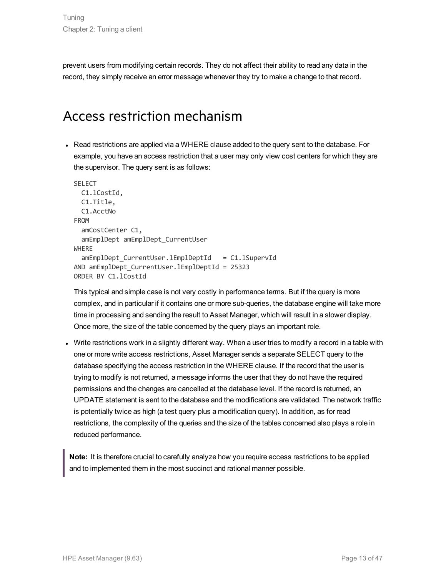<span id="page-12-0"></span>prevent users from modifying certain records. They do not affect their ability to read any data in the record, they simply receive an error message whenever they try to make a change to that record.

### Access restriction mechanism

• Read restrictions are applied via a WHERE clause added to the query sent to the database. For example, you have an access restriction that a user may only view cost centers for which they are the supervisor. The query sent is as follows:

```
SELECT
 C1.lCostId,
  C1.Title,
  C1.AcctNo
FROM
  amCostCenter C1,
  amEmplDept amEmplDept_CurrentUser
WHERE
  amEmplDept CurrentUser.lEmplDeptId = C1.1SupervId
AND amEmplDept CurrentUser.lEmplDeptId = 25323
ORDER BY C1.lCostId
```
This typical and simple case is not very costly in performance terms. But if the query is more complex, and in particular if it contains one or more sub-queries, the database engine will take more time in processing and sending the result to Asset Manager, which will result in a slower display. Once more, the size of the table concerned by the query plays an important role.

• Write restrictions work in a slightly different way. When a user tries to modify a record in a table with one or more write access restrictions, Asset Manager sends a separate SELECT query to the database specifying the access restriction in the WHERE clause. If the record that the user is trying to modify is not returned, a message informs the user that they do not have the required permissions and the changes are cancelled at the database level. If the record is returned, an UPDATE statement is sent to the database and the modifications are validated. The network traffic is potentially twice as high (a test query plus a modification query). In addition, as for read restrictions, the complexity of the queries and the size of the tables concerned also plays a role in reduced performance.

**Note:** It is therefore crucial to carefully analyze how you require access restrictions to be applied and to implemented them in the most succinct and rational manner possible.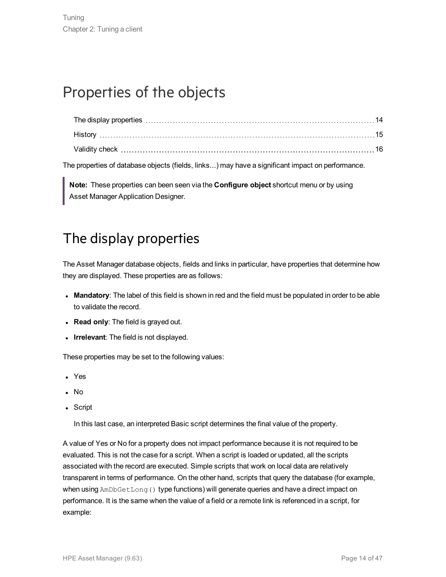### <span id="page-13-0"></span>Properties of the objects

The properties of database objects (fields, links...) may have a significant impact on performance.

<span id="page-13-1"></span>**Note:** These properties can been seen via the **Configure object** shortcut menu or by using Asset Manager Application Designer.

### The display properties

The Asset Manager database objects, fields and links in particular, have properties that determine how they are displayed. These properties are as follows:

- **Mandatory**: The label of this field is shown in red and the field must be populated in order to be able to validate the record.
- <sup>l</sup> **Read only**: The field is grayed out.
- Irrelevant: The field is not displayed.

These properties may be set to the following values:

- Yes
- $\blacksquare$  No
- Script

In this last case, an interpreted Basic script determines the final value of the property.

A value of Yes or No for a property does not impact performance because it is not required to be evaluated. This is not the case for a script. When a script is loaded or updated, all the scripts associated with the record are executed. Simple scripts that work on local data are relatively transparent in terms of performance. On the other hand, scripts that query the database (for example, when using AmDbGetLong() type functions) will generate queries and have a direct impact on performance. It is the same when the value of a field or a remote link is referenced in a script, for example: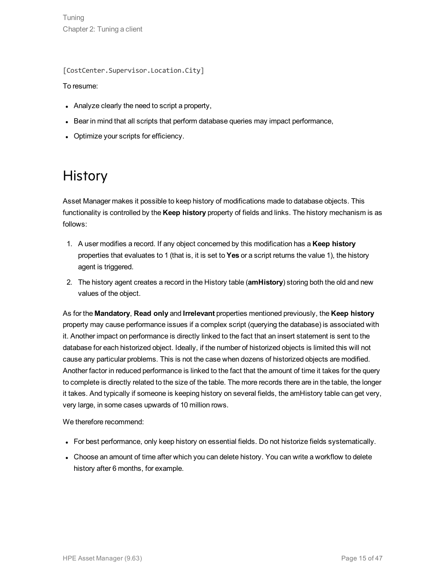[CostCenter.Supervisor.Location.City]

To resume:

- $\bullet$  Analyze clearly the need to script a property,
- Bear in mind that all scripts that perform database queries may impact performance,
- <span id="page-14-0"></span>• Optimize your scripts for efficiency.

### **History**

Asset Manager makes it possible to keep history of modifications made to database objects. This functionality is controlled by the **Keep history** property of fields and links. The history mechanism is as follows:

- 1. A user modifies a record. If any object concerned by this modification has a **Keep history** properties that evaluates to 1 (that is, it is set to **Yes** or a script returns the value 1), the history agent is triggered.
- 2. The history agent creates a record in the History table (**amHistory**) storing both the old and new values of the object.

As for the **Mandatory**, **Read only** and **Irrelevant** properties mentioned previously, the **Keep history** property may cause performance issues if a complex script (querying the database) is associated with it. Another impact on performance is directly linked to the fact that an insert statement is sent to the database for each historized object. Ideally, if the number of historized objects is limited this will not cause any particular problems. This is not the case when dozens of historized objects are modified. Another factor in reduced performance is linked to the fact that the amount of time it takes for the query to complete is directly related to the size of the table. The more records there are in the table, the longer it takes. And typically if someone is keeping history on several fields, the amHistory table can get very, very large, in some cases upwards of 10 million rows.

We therefore recommend:

- For best performance, only keep history on essential fields. Do not historize fields systematically.
- Choose an amount of time after which you can delete history. You can write a workflow to delete history after 6 months, for example.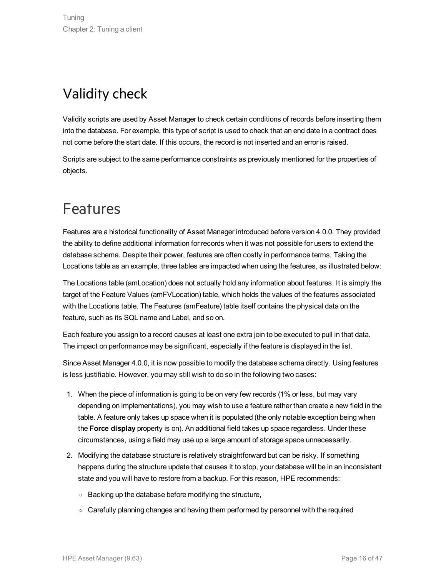### <span id="page-15-0"></span>Validity check

Validity scripts are used by Asset Manager to check certain conditions of records before inserting them into the database. For example, this type of script is used to check that an end date in a contract does not come before the start date. If this occurs, the record is not inserted and an error is raised.

Scripts are subject to the same performance constraints as previously mentioned for the properties of objects.

### <span id="page-15-1"></span>Features

Features are a historical functionality of Asset Manager introduced before version 4.0.0. They provided the ability to define additional information for records when it was not possible for users to extend the database schema. Despite their power, features are often costly in performance terms. Taking the Locations table as an example, three tables are impacted when using the features, as illustrated below:

The Locations table (amLocation) does not actually hold any information about features. It is simply the target of the Feature Values (amFVLocation) table, which holds the values of the features associated with the Locations table. The Features (amFeature) table itself contains the physical data on the feature, such as its SQL name and Label, and so on.

Each feature you assign to a record causes at least one extra join to be executed to pull in that data. The impact on performance may be significant, especially if the feature is displayed in the list.

Since Asset Manager 4.0.0, it is now possible to modify the database schema directly. Using features is less justifiable. However, you may still wish to do so in the following two cases:

- 1. When the piece of information is going to be on very few records (1% or less, but may vary depending on implementations), you may wish to use a feature rather than create a new field in the table. A feature only takes up space when it is populated (the only notable exception being when the **Force display** property is on). An additional field takes up space regardless. Under these circumstances, using a field may use up a large amount of storage space unnecessarily.
- 2. Modifying the database structure is relatively straightforward but can be risky. If something happens during the structure update that causes it to stop, your database will be in an inconsistent state and you will have to restore from a backup. For this reason, HPE recommends:
	- <sup>o</sup> Backing up the database before modifying the structure,
	- $\circ$  Carefully planning changes and having them performed by personnel with the required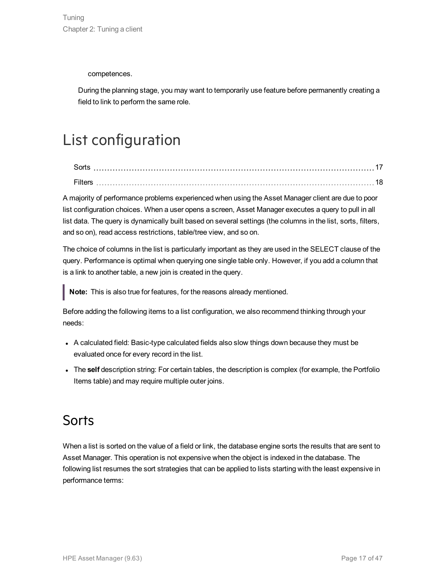competences.

During the planning stage, you may want to temporarily use feature before permanently creating a field to link to perform the same role.

## <span id="page-16-0"></span>List configuration

| Sorts  |  |
|--------|--|
| Filtei |  |

A majority of performance problems experienced when using the Asset Manager client are due to poor list configuration choices. When a user opens a screen, Asset Manager executes a query to pull in all list data. The query is dynamically built based on several settings (the columns in the list, sorts, filters, and so on), read access restrictions, table/tree view, and so on.

The choice of columns in the list is particularly important as they are used in the SELECT clause of the query. Performance is optimal when querying one single table only. However, if you add a column that is a link to another table, a new join is created in the query.

**Note:** This is also true for features, for the reasons already mentioned.

Before adding the following items to a list configuration, we also recommend thinking through your needs:

- A calculated field: Basic-type calculated fields also slow things down because they must be evaluated once for every record in the list.
- <span id="page-16-1"></span>• The **self** description string: For certain tables, the description is complex (for example, the Portfolio Items table) and may require multiple outer joins.

### **Sorts**

When a list is sorted on the value of a field or link, the database engine sorts the results that are sent to Asset Manager. This operation is not expensive when the object is indexed in the database. The following list resumes the sort strategies that can be applied to lists starting with the least expensive in performance terms: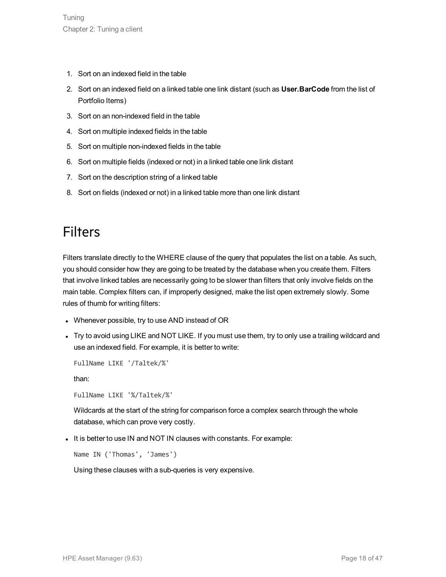- 1. Sort on an indexed field in the table
- 2. Sort on an indexed field on a linked table one link distant (such as **User.BarCode** from the list of Portfolio Items)
- 3. Sort on an non-indexed field in the table
- 4. Sort on multiple indexed fields in the table
- 5. Sort on multiple non-indexed fields in the table
- 6. Sort on multiple fields (indexed or not) in a linked table one link distant
- 7. Sort on the description string of a linked table
- <span id="page-17-0"></span>8. Sort on fields (indexed or not) in a linked table more than one link distant

### **Filters**

Filters translate directly to the WHERE clause of the query that populates the list on a table. As such, you should consider how they are going to be treated by the database when you create them. Filters that involve linked tables are necessarily going to be slower than filters that only involve fields on the main table. Complex filters can, if improperly designed, make the list open extremely slowly. Some rules of thumb for writing filters:

- Whenever possible, try to use AND instead of OR
- Try to avoid using LIKE and NOT LIKE. If you must use them, try to only use a trailing wildcard and use an indexed field. For example, it is better to write:

FullName LIKE '/Taltek/%'

than:

FullName LIKE '%/Taltek/%'

Wildcards at the start of the string for comparison force a complex search through the whole database, which can prove very costly.

It is better to use IN and NOT IN clauses with constants. For example:

Name IN ('Thomas', 'James')

Using these clauses with a sub-queries is very expensive.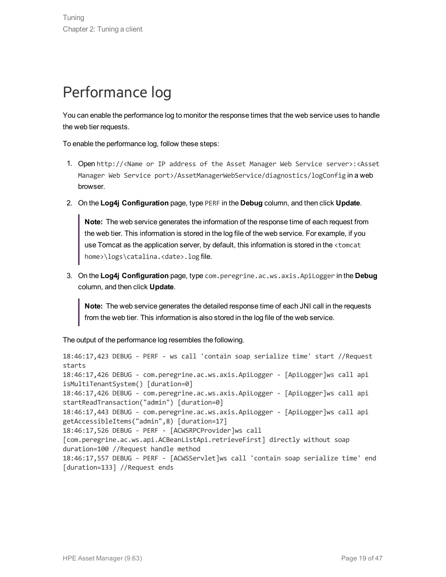## <span id="page-18-0"></span>Performance log

You can enable the performance log to monitor the response times that the web service uses to handle the web tier requests.

To enable the performance log, follow these steps:

- 1. Open http://<Name or IP address of the Asset Manager Web Service server>:<Asset Manager Web Service port>/AssetManagerWebService/diagnostics/logConfig in a web browser.
- 2. On the **Log4j Configuration** page, type PERF in the **Debug** column, and then click **Update**.

**Note:** The web service generates the information of the response time of each request from the web tier. This information is stored in the log file of the web service. For example, if you use Tomcat as the application server, by default, this information is stored in the <tomcat home>\logs\catalina.<date>.log file.

3. On the **Log4j Configuration** page, type com.peregrine.ac.ws.axis.ApiLogger in the **Debug** column, and then click **Update**.

**Note:** The web service generates the detailed response time of each JNI call in the requests from the web tier. This information is also stored in the log file of the web service.

The output of the performance log resembles the following.

```
18:46:17,423 DEBUG - PERF - ws call 'contain soap serialize time' start //Request
starts
18:46:17,426 DEBUG - com.peregrine.ac.ws.axis.ApiLogger - [ApiLogger]ws call api
isMultiTenantSystem() [duration=0]
18:46:17,426 DEBUG - com.peregrine.ac.ws.axis.ApiLogger - [ApiLogger]ws call api
startReadTransaction("admin") [duration=0]
18:46:17,443 DEBUG - com.peregrine.ac.ws.axis.ApiLogger - [ApiLogger]ws call api
getAccessibleItems("admin",8) [duration=17]
18:46:17,526 DEBUG - PERF - [ACWSRPCProvider]ws call
[com.peregrine.ac.ws.api.ACBeanListApi.retrieveFirst] directly without soap
duration=100 //Request handle method
18:46:17,557 DEBUG - PERF - [ACWSServlet]ws call 'contain soap serialize time' end
[duration=133] //Request ends
```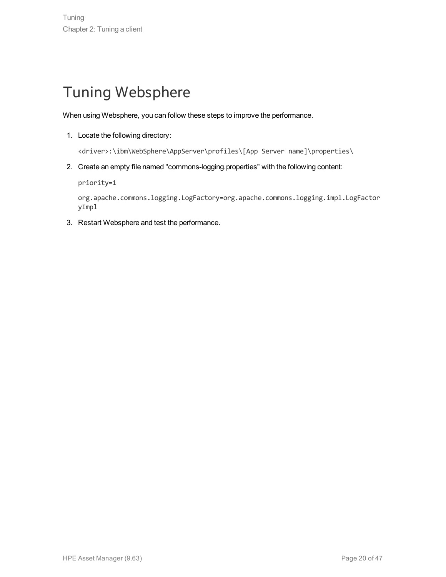### <span id="page-19-0"></span>Tuning Websphere

When using Websphere, you can follow these steps to improve the performance.

1. Locate the following directory:

<driver>:\ibm\WebSphere\AppServer\profiles\[App Server name]\properties\

2. Create an empty file named "commons-logging.properties" with the following content:

priority=1

org.apache.commons.logging.LogFactory=org.apache.commons.logging.impl.LogFactor yImpl

3. Restart Websphere and test the performance.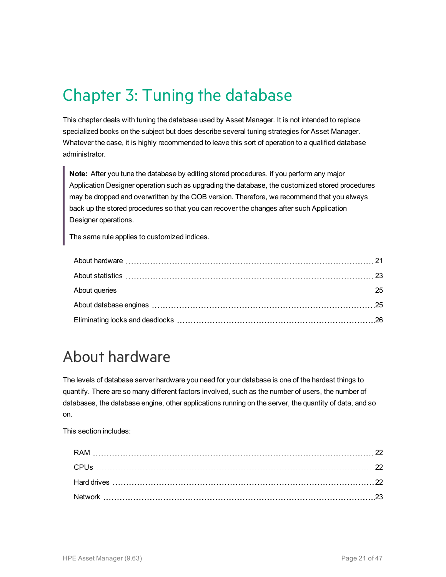## <span id="page-20-0"></span>Chapter 3: Tuning the database

This chapter deals with tuning the database used by Asset Manager. It is not intended to replace specialized books on the subject but does describe several tuning strategies for Asset Manager. Whatever the case, it is highly recommended to leave this sort of operation to a qualified database administrator.

**Note:** After you tune the database by editing stored procedures, if you perform any major Application Designer operation such as upgrading the database, the customized stored procedures may be dropped and overwritten by the OOB version. Therefore, we recommend that you always back up the stored procedures so that you can recover the changes after such Application Designer operations.

The same rule applies to customized indices.

### <span id="page-20-1"></span>About hardware

The levels of database server hardware you need for your database is one of the hardest things to quantify. There are so many different factors involved, such as the number of users, the number of databases, the database engine, other applications running on the server, the quantity of data, and so on.

This section includes: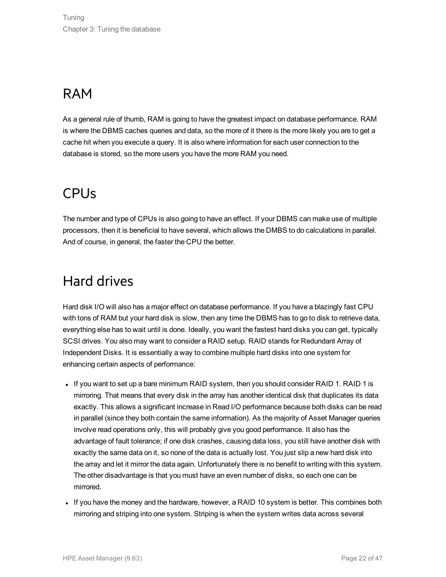### <span id="page-21-0"></span>RAM

As a general rule of thumb, RAM is going to have the greatest impact on database performance. RAM is where the DBMS caches queries and data, so the more of it there is the more likely you are to get a cache hit when you execute a query. It is also where information for each user connection to the database is stored, so the more users you have the more RAM you need.

### <span id="page-21-1"></span>CPUs

The number and type of CPUs is also going to have an effect. If your DBMS can make use of multiple processors, then it is beneficial to have several, which allows the DMBS to do calculations in parallel. And of course, in general, the faster the CPU the better.

### <span id="page-21-2"></span>Hard drives

Hard disk I/O will also has a major effect on database performance. If you have a blazingly fast CPU with tons of RAM but your hard disk is slow, then any time the DBMS has to go to disk to retrieve data, everything else has to wait until is done. Ideally, you want the fastest hard disks you can get, typically SCSI drives. You also may want to consider a RAID setup. RAID stands for Redundant Array of Independent Disks. It is essentially a way to combine multiple hard disks into one system for enhancing certain aspects of performance:

- $\bullet$  If you want to set up a bare minimum RAID system, then you should consider RAID 1. RAID 1 is mirroring. That means that every disk in the array has another identical disk that duplicates its data exactly. This allows a significant increase in Read I/O performance because both disks can be read in parallel (since they both contain the same information). As the majority of Asset Manager queries involve read operations only, this will probably give you good performance. It also has the advantage of fault tolerance; if one disk crashes, causing data loss, you still have another disk with exactly the same data on it, so none of the data is actually lost. You just slip a new hard disk into the array and let it mirror the data again. Unfortunately there is no benefit to writing with this system. The other disadvantage is that you must have an even number of disks, so each one can be mirrored.
- If you have the money and the hardware, however, a RAID 10 system is better. This combines both mirroring and striping into one system. Striping is when the system writes data across several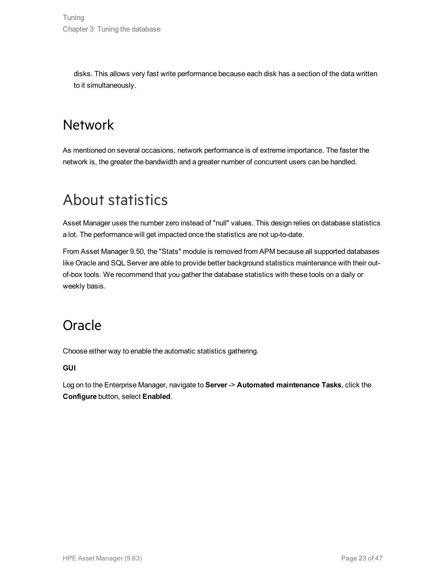<span id="page-22-0"></span>disks. This allows very fast write performance because each disk has a section of the data written to it simultaneously.

### Network

As mentioned on several occasions, network performance is of extreme importance. The faster the network is, the greater the bandwidth and a greater number of concurrent users can be handled.

### <span id="page-22-1"></span>About statistics

Asset Manager uses the number zero instead of "null" values. This design relies on database statistics a lot. The performance will get impacted once the statistics are not up-to-date.

From Asset Manager 9.50, the "Stats" module is removed from APM because all supported databases like Oracle and SQL Server are able to provide better background statistics maintenance with their outof-box tools. We recommend that you gather the database statistics with these tools on a daily or weekly basis.

### <span id="page-22-2"></span>**Oracle**

Choose either way to enable the automatic statistics gathering.

**GUI**

Log on to the Enterprise Manager, navigate to **Server** -> **Automated maintenance Tasks**, click the **Configure** button, select **Enabled**.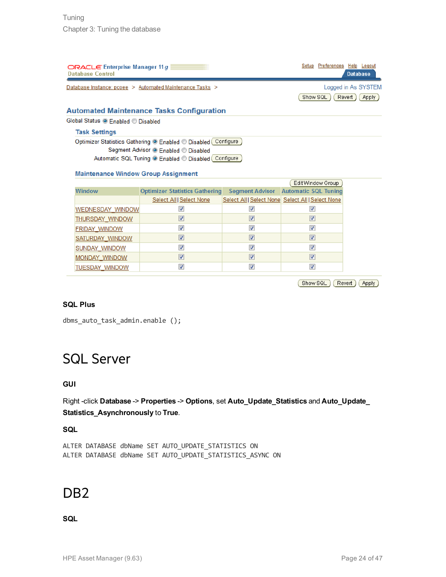| $ORACLE'$ Enterprise Manager 11 $q$<br><b>Database Control</b> | Setup Preferences Help Logout<br><b>Database</b> |
|----------------------------------------------------------------|--------------------------------------------------|
| Database Instance: pcoee > Automated Maintenance Tasks >       | Logged in As SYSTEM                              |
|                                                                | Apply<br>Revert<br>Show SQL                      |
|                                                                |                                                  |

#### **Automated Maintenance Tasks Configuration**

Global Status <sup>O</sup> Enabled © Disabled

#### **Task Settings**

Optimizer Statistics Gathering <sup>O</sup> Enabled © Disabled Configure Segment Advisor <sup>O</sup> Enabled <sup>O</sup> Disabled Automatic SQL Tuning <sup>O</sup> Enabled © Disabled Configure

#### **Maintenance Window Group Assignment**

|                         |                                       |                         | Edit Window Group                                 |
|-------------------------|---------------------------------------|-------------------------|---------------------------------------------------|
| <b>Window</b>           | <b>Optimizer Statistics Gathering</b> | <b>Segment Advisor</b>  | <b>Automatic SQL Tuning</b>                       |
|                         | Select All   Select None              |                         | Select All   Select None Select All   Select None |
| <b>WEDNESDAY WINDOW</b> | V                                     |                         |                                                   |
| <b>THURSDAY WINDOW</b>  | V                                     |                         |                                                   |
| <b>FRIDAY WINDOW</b>    | ⊽                                     |                         |                                                   |
| SATURDAY WINDOW         | V                                     |                         |                                                   |
| <b>SUNDAY WINDOW</b>    | ⊽                                     | V                       |                                                   |
| <b>MONDAY WINDOW</b>    | V                                     | $\overline{\mathsf{v}}$ |                                                   |
| <b>TUESDAY WINDOW</b>   | $\blacktriangledown$                  |                         |                                                   |

Show SQL Revert (Apply)

#### **SQL Plus**

<span id="page-23-0"></span>dbms auto task admin.enable ();

### SQL Server

#### **GUI**

Right -click **Database** -> **Properties** -> **Options**, set **Auto\_Update\_Statistics** and **Auto\_Update\_ Statistics\_Asynchronously** to **True**.

#### **SQL**

<span id="page-23-1"></span>ALTER DATABASE dbName SET AUTO\_UPDATE\_STATISTICS ON ALTER DATABASE dbName SET AUTO\_UPDATE\_STATISTICS\_ASYNC ON

### D<sub>B</sub>2

#### **SQL**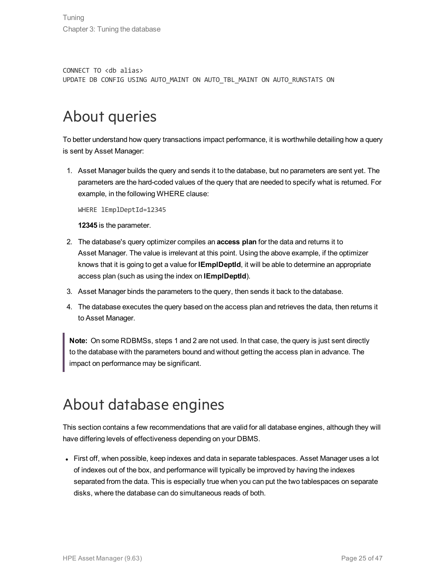CONNECT TO <db alias> UPDATE DB CONFIG USING AUTO\_MAINT ON AUTO\_TBL\_MAINT ON AUTO\_RUNSTATS ON

### <span id="page-24-0"></span>About queries

To better understand how query transactions impact performance, it is worthwhile detailing how a query is sent by Asset Manager:

1. Asset Manager builds the query and sends it to the database, but no parameters are sent yet. The parameters are the hard-coded values of the query that are needed to specify what is returned. For example, in the following WHERE clause:

WHERE lEmplDeptId=12345

**12345** is the parameter.

- 2. The database's query optimizer compiles an **access plan** for the data and returns it to Asset Manager. The value is irrelevant at this point. Using the above example, if the optimizer knows that it is going to get a value for **lEmplDeptId**, it will be able to determine an appropriate access plan (such as using the index on **lEmplDeptId**).
- 3. Asset Manager binds the parameters to the query, then sends it back to the database.
- 4. The database executes the query based on the access plan and retrieves the data, then returns it to Asset Manager.

**Note:** On some RDBMSs, steps 1 and 2 are not used. In that case, the query is just sent directly to the database with the parameters bound and without getting the access plan in advance. The impact on performance may be significant.

### <span id="page-24-1"></span>About database engines

This section contains a few recommendations that are valid for all database engines, although they will have differing levels of effectiveness depending on your DBMS.

• First off, when possible, keep indexes and data in separate tablespaces. Asset Manager uses a lot of indexes out of the box, and performance will typically be improved by having the indexes separated from the data. This is especially true when you can put the two tablespaces on separate disks, where the database can do simultaneous reads of both.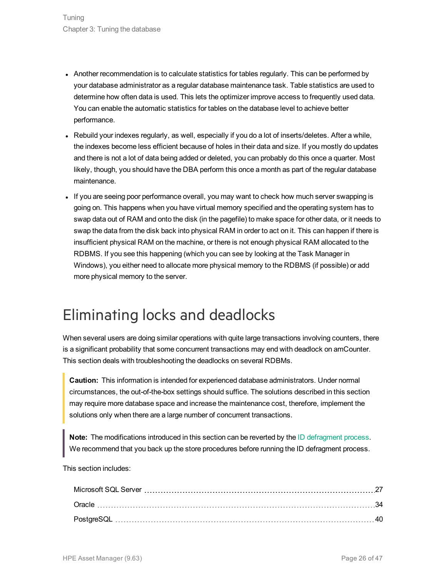- Another recommendation is to calculate statistics for tables regularly. This can be performed by your database administrator as a regular database maintenance task. Table statistics are used to determine how often data is used. This lets the optimizer improve access to frequently used data. You can enable the automatic statistics for tables on the database level to achieve better performance.
- $\bullet$  Rebuild your indexes regularly, as well, especially if you do a lot of inserts/deletes. After a while, the indexes become less efficient because of holes in their data and size. If you mostly do updates and there is not a lot of data being added or deleted, you can probably do this once a quarter. Most likely, though, you should have the DBA perform this once a month as part of the regular database maintenance.
- If you are seeing poor performance overall, you may want to check how much server swapping is going on. This happens when you have virtual memory specified and the operating system has to swap data out of RAM and onto the disk (in the pagefile) to make space for other data, or it needs to swap the data from the disk back into physical RAM in order to act on it. This can happen if there is insufficient physical RAM on the machine, or there is not enough physical RAM allocated to the RDBMS. If you see this happening (which you can see by looking at the Task Manager in Windows), you either need to allocate more physical memory to the RDBMS (if possible) or add more physical memory to the server.

### <span id="page-25-0"></span>Eliminating locks and deadlocks

When several users are doing similar operations with quite large transactions involving counters, there is a significant probability that some concurrent transactions may end with deadlock on amCounter. This section deals with troubleshooting the deadlocks on several RDBMs.

**Caution:** This information is intended for experienced database administrators. Under normal circumstances, the out-of-the-box settings should suffice. The solutions described in this section may require more database space and increase the maintenance cost, therefore, implement the solutions only when there are a large number of concurrent transactions.

**Note:** The modifications introduced in this section can be reverted by the ID defragment process. We recommend that you back up the store procedures before running the ID defragment process.

This section includes: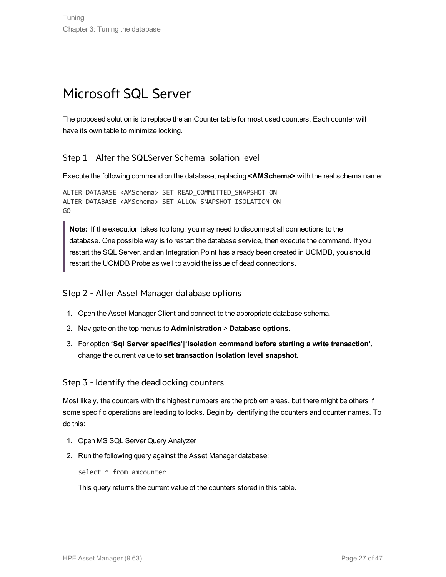### <span id="page-26-0"></span>Microsoft SQL Server

The proposed solution is to replace the amCounter table for most used counters. Each counter will have its own table to minimize locking.

#### Step 1 - Alter the SQLServer Schema isolation level

Execute the following command on the database, replacing **<AMSchema>** with the real schema name:

```
ALTER DATABASE <AMSchema> SET READ_COMMITTED_SNAPSHOT ON
ALTER DATABASE <AMSchema> SET ALLOW_SNAPSHOT_ISOLATION ON
GO
```
**Note:** If the execution takes too long, you may need to disconnect all connections to the database. One possible way is to restart the database service, then execute the command. If you restart the SQL Server, and an Integration Point has already been created in UCMDB, you should restart the UCMDB Probe as well to avoid the issue of dead connections.

#### Step 2 - Alter Asset Manager database options

- 1. Open the Asset Manager Client and connect to the appropriate database schema.
- 2. Navigate on the top menus to **Administration** > **Database options**.
- 3. For option **'Sql Server specifics'|'Isolation command before starting a write transaction'**, change the current value to **set transaction isolation level snapshot**.

#### Step 3 - Identify the deadlocking counters

Most likely, the counters with the highest numbers are the problem areas, but there might be others if some specific operations are leading to locks. Begin by identifying the counters and counter names. To do this:

- 1. Open MS SQL Server Query Analyzer
- 2. Run the following query against the Asset Manager database:

select \* from amcounter

This query returns the current value of the counters stored in this table.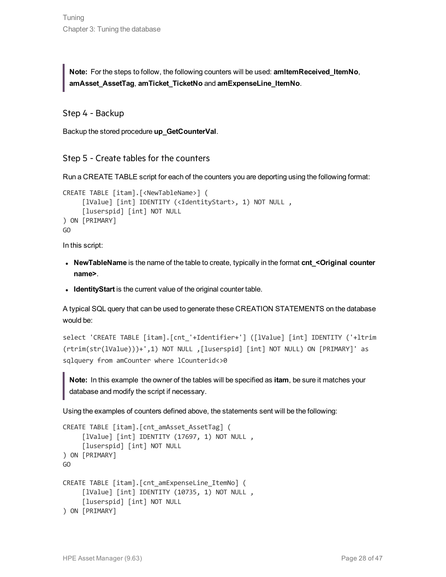**Note:** For the steps to follow, the following counters will be used: **amItemReceived\_ItemNo**, **amAsset\_AssetTag**, **amTicket\_TicketNo** and **amExpenseLine\_ItemNo**.

Step 4 - Backup

Backup the stored procedure **up\_GetCounterVal**.

Step 5 - Create tables for the counters

Run a CREATE TABLE script for each of the counters you are deporting using the following format:

```
CREATE TABLE [itam].[<NewTableName>] (
     [lValue] [int] IDENTITY (<IdentityStart>, 1) NOT NULL ,
     [luserspid] [int] NOT NULL
) ON [PRIMARY]
GO
```
In this script:

- <sup>l</sup> **NewTableName** is the name of the table to create, typically in the format **cnt\_<Original counter name>**.
- **IdentityStart** is the current value of the original counter table.

A typical SQL query that can be used to generate these CREATION STATEMENTS on the database would be:

select 'CREATE TABLE [itam].[cnt\_'+Identifier+'] ([lValue] [int] IDENTITY ('+ltrim (rtrim(str(lValue)))+',1) NOT NULL ,[luserspid] [int] NOT NULL) ON [PRIMARY]' as sqlquery from amCounter where lCounterid<>0

**Note:** In this example the owner of the tables will be specified as **itam**, be sure it matches your database and modify the script if necessary.

Using the examples of counters defined above, the statements sent will be the following:

```
CREATE TABLE [itam]. [cnt amAsset AssetTag] (
     [lValue] [int] IDENTITY (17697, 1) NOT NULL,
     [luserspid] [int] NOT NULL
) ON [PRIMARY]
GO
CREATE TABLE [itam].[cnt_amExpenseLine_ItemNo] (
     [lValue] [int] IDENTITY (10735, 1) NOT NULL ,
     [luserspid] [int] NOT NULL
) ON [PRIMARY]
```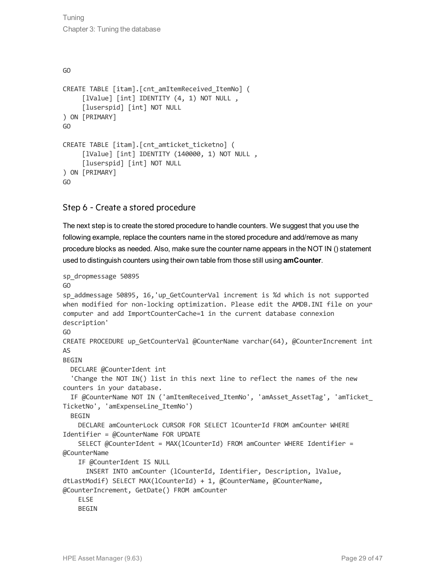#### GO

```
CREATE TABLE [itam].[cnt_amItemReceived_ItemNo] (
     [lValue] [int] IDENTITY (4, 1) NOT NULL,
     [luserspid] [int] NOT NULL
) ON [PRIMARY]
GO
CREATE TABLE [itam].[cnt_amticket_ticketno] (
     [lValue] [int] IDENTITY (140000, 1) NOT NULL ,
     [luserspid] [int] NOT NULL
) ON [PRIMARY]
GO
```
#### Step 6 - Create a stored procedure

The next step is to create the stored procedure to handle counters. We suggest that you use the following example, replace the counters name in the stored procedure and add/remove as many procedure blocks as needed. Also, make sure the counter name appears in the NOT IN () statement used to distinguish counters using their own table from those still using **amCounter**.

```
sp_dropmessage 50895
GO
sp_addmessage 50895, 16,'up_GetCounterVal increment is %d which is not supported
when modified for non-locking optimization. Please edit the AMDB.INI file on your
computer and add ImportCounterCache=1 in the current database connexion
description'
GO
CREATE PROCEDURE up GetCounterVal @CounterName varchar(64), @CounterIncrement int
\DeltaBEGIN
  DECLARE @CounterIdent int
  'Change the NOT IN() list in this next line to reflect the names of the new
counters in your database.
  IF @CounterName NOT IN ('amItemReceived_ItemNo', 'amAsset_AssetTag', 'amTicket_
TicketNo', 'amExpenseLine_ItemNo')
  BEGIN
    DECLARE amCounterLock CURSOR FOR SELECT lCounterId FROM amCounter WHERE
Identifier = @CounterName FOR UPDATE
    SELECT @CounterIdent = MAX(lCounterId) FROM amCounter WHERE Identifier =
@CounterName
    IF @CounterIdent IS NULL
      INSERT INTO amCounter (lCounterId, Identifier, Description, lValue,
dtLastModif) SELECT MAX(lCounterId) + 1, @CounterName, @CounterName,
@CounterIncrement, GetDate() FROM amCounter
    ELSE
    BEGTN
```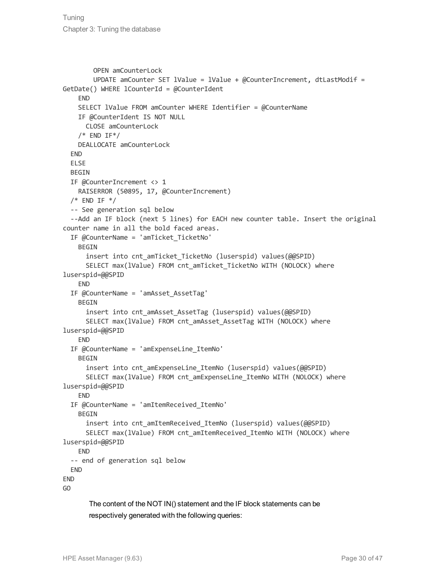```
OPEN amCounterLock
        UPDATE amCounter SET lValue = lValue + @CounterIncrement, dtLastModif =
GetDate() WHERE lCounterId = @CounterIdent
   END
    SELECT lValue FROM amCounter WHERE Identifier = @CounterName
    IF @CounterIdent IS NOT NULL
     CLOSE amCounterLock     
    /* END IF*/
   DEALLOCATE amCounterLock
  END
  ELSE
  BEGIN
  IF @CounterIncrement <> 1
   RAISERROR (50895, 17, @CounterIncrement)
  /* END IF */-- See generation sql below
  --Add an IF block (next 5 lines) for EACH new counter table. Insert the original
counter name in all the bold faced areas.
  IF @CounterName = 'amTicket_TicketNo'
   BEGIN
      insert into cnt amTicket TicketNo (luserspid) values(@@SPID)
      SELECT max(lValue) FROM cnt amTicket TicketNo WITH (NOLOCK) where
luserspid=@@SPID
    END
  IF @CounterName = 'amAsset_AssetTag'
    BEGIN
      insert into cnt amAsset AssetTag (luserspid) values(@@SPID)
      SELECT max(lValue) FROM cnt amAsset AssetTag WITH (NOLOCK) where
luserspid=@@SPID
    END
  IF @CounterName = 'amExpenseLine_ItemNo'
    BEGIN
      insert into cnt amExpenseLine ItemNo (luserspid) values(@@SPID)
      SELECT max(lValue) FROM cnt amExpenseLine ItemNo WITH (NOLOCK) where
luserspid=@@SPID
    END
  IF @CounterName = 'amItemReceived_ItemNo'
    BEGIN
      insert into cnt amItemReceived ItemNo (luserspid) values(@@SPID)
      SELECT max(lValue) FROM cnt amItemReceived ItemNo WITH (NOLOCK) where
luserspid=@@SPID
   END
  -- end of generation sql below
  END
END
GO
```
The content of the NOT IN() statement and the IF block statements can be respectively generated with the following queries: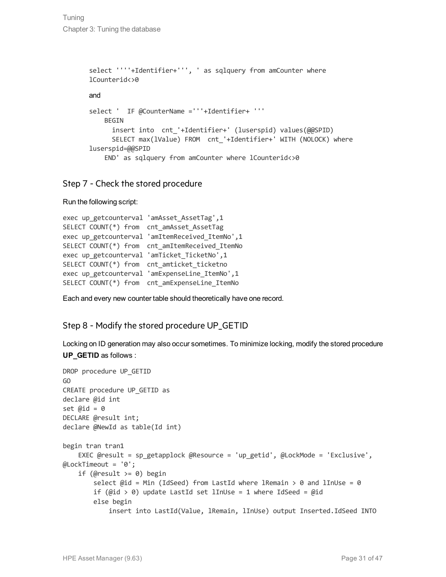Tuning Chapter 3: Tuning the database

```
select ''''+Identifier+''', ' as sqlquery from amCounter where
lCounterid<>0
and
select ' IF @CounterName ='''+Identifier+ '''
    BEGIN
      insert into cnt '+Identifier+' (luserspid) values(@@SPID)
      SELECT max(lValue) FROM cnt_'+Identifier+' WITH (NOLOCK) where
luserspid=@@SPID
    END' as sqlquery from amCounter where lCounterid<>0
```
#### Step 7 - Check the stored procedure

Run the following script:

```
exec up getcounterval 'amAsset AssetTag',1
SELECT COUNT(*) from  cnt_amAsset_AssetTag
exec up getcounterval 'amItemReceived ItemNo',1
SELECT COUNT(*) from  cnt_amItemReceived_ItemNo
exec up getcounterval 'amTicket TicketNo',1
SELECT COUNT(*) from  cnt_amticket_ticketno
exec up getcounterval 'amExpenseLine ItemNo',1
SELECT COUNT(*) from  cnt_amExpenseLine_ItemNo
```
Each and every new counter table should theoretically have one record.

#### Step 8 - Modify the stored procedure UP\_GETID

Locking on ID generation may also occur sometimes. To minimize locking, modify the stored procedure **UP\_GETID** as follows :

```
DROP procedure UP_GETID
GO
CREATE procedure UP_GETID as
declare @id int
set \varnothingid = \varnothingDECLARE @result int;
declare @NewId as table(Id int)
begin tran tran1
    EXEC @result = sp getapplock @Resource = 'up getid', @LockMode = 'Exclusive',
@LockTimeout = '0';
    if (@result >= 0) begin
        select \varnothingid = Min (IdSeed) from LastId where lRemain > \theta and lInUse = \thetaif (@id > 0) update LastId set lInUse = 1 where IdSeed = @id
        else begin
             insert into LastId(Value, lRemain, lInUse) output Inserted.IdSeed INTO
```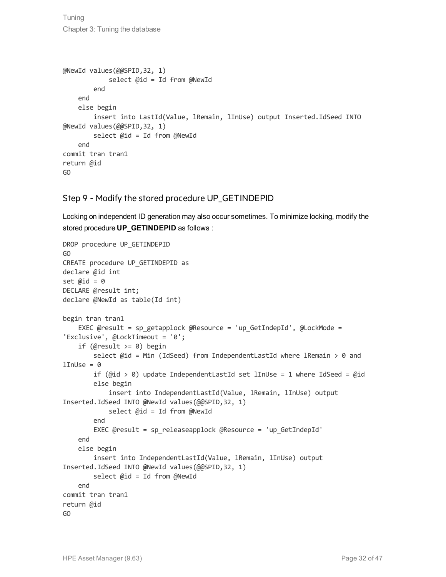Tuning Chapter 3: Tuning the database

```
@NewId values(@@SPID,32, 1)
            select @id = Id from @NewId
        end
    end
    else begin
        insert into LastId(Value, lRemain, lInUse) output Inserted.IdSeed INTO
@NewId values(@@SPID,32, 1)
        select @id = Id from @NewId
    end
commit tran tran1
return @id
GO
```
#### Step 9 - Modify the stored procedure UP\_GETINDEPID

Locking on independent ID generation may also occur sometimes. To minimize locking, modify the stored procedure **UP\_GETINDEPID** as follows :

```
DROP procedure UP_GETINDEPID
GO
CREATE procedure UP_GETINDEPID as
declare @id int
set \varnothingid = 0
DECLARE @result int;
declare @NewId as table(Id int)
begin tran tran1
    EXEC @result = sp getapplock @Resource = 'up GetIndepId', @LockMode =
'Exclusive', @LockTimeout = '0';
    if (@result >= 0) begin
        select @id = Min (IdSeed) from IndependentLastId where lRemain > 0 and
lInUse = 0if (@id > 0) update IndependentLastId set lInUse = 1 where IdSeed = @id
        else begin
            insert into IndependentLastId(Value, lRemain, lInUse) output
Inserted.IdSeed INTO @NewId values(@@SPID,32, 1)
            select @id = Id from @NewId
        end
        EXEC @result = sp_releaseapplock @Resource = 'up_GetIndepId'
    end
    else begin
        insert into IndependentLastId(Value, lRemain, lInUse) output
Inserted.IdSeed INTO @NewId values(@@SPID,32, 1)
        select @id = Id from @NewId
    end
commit tran tran1
return @id
GO
```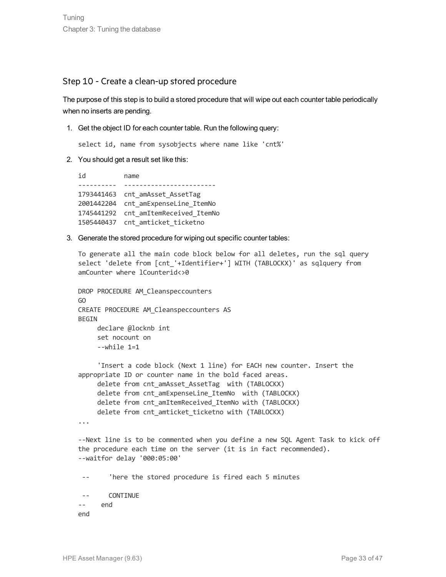#### Step 10 - Create a clean-up stored procedure

The purpose of this step is to build a stored procedure that will wipe out each counter table periodically when no inserts are pending.

1. Get the object ID for each counter table. Run the following query:

select id, name from sysobjects where name like 'cnt%'

2. You should get a result set like this:

```
id          name
---------- ------------------------
1793441463 cnt amAsset AssetTag
2001442204  cnt_amExpenseLine_ItemNo
1745441292  cnt_amItemReceived_ItemNo
1505440437  cnt_amticket_ticketno
```
3. Generate the stored procedure for wiping out specific counter tables:

To generate all the main code block below for all deletes, run the sql query select 'delete from [cnt\_'+Identifier+'] WITH (TABLOCKX)' as sqlquery from amCounter where lCounterid<>0

```
DROP PROCEDURE AM_Cleanspeccounters
GO
CREATE PROCEDURE AM_Cleanspeccounters AS
BEGIN
       declare @locknb int                                                       
       set nocount on                                                            
      --while 1=1
```

```
 'Insert a code block (Next 1 line) for EACH new counter. Insert the
appropriate ID or counter name in the bold faced areas. 
    delete from cnt amAsset AssetTag with (TABLOCKX)
    delete from cnt amExpenseLine ItemNo with (TABLOCKX)
     delete from cnt_amItemReceived_ItemNo with (TABLOCKX)
     delete from cnt_amticket_ticketno with (TABLOCKX)
```

```
...
```
--Next line is to be commented when you define a new SQL Agent Task to kick off the procedure each time on the server (it is in fact recommended). --waitfor delay '000:05:00'

'here the stored procedure is fired each 5 minutes

 -- CONTINUE -- end

end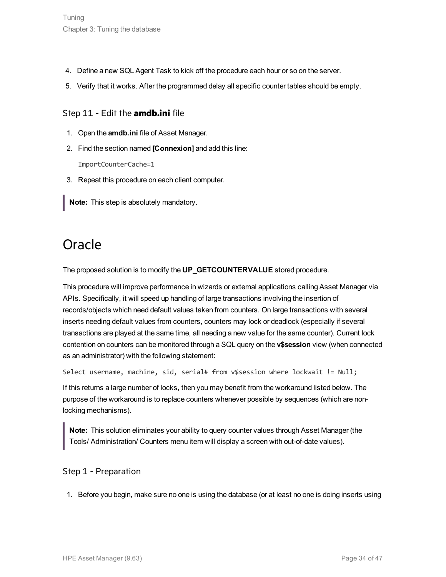- 4. Define a new SQL Agent Task to kick off the procedure each hour or so on the server.
- 5. Verify that it works. After the programmed delay all specific counter tables should be empty.

#### Step 11 - Edit the **amdb.ini** file

- 1. Open the **amdb.ini** file of Asset Manager.
- 2. Find the section named **[Connexion]** and add this line:

ImportCounterCache=1

- 3. Repeat this procedure on each client computer.
- <span id="page-33-0"></span>**Note:** This step is absolutely mandatory.

### **Oracle**

The proposed solution is to modify the **UP\_GETCOUNTERVALUE** stored procedure.

This procedure will improve performance in wizards or external applications calling Asset Manager via APIs. Specifically, it will speed up handling of large transactions involving the insertion of records/objects which need default values taken from counters. On large transactions with several inserts needing default values from counters, counters may lock or deadlock (especially if several transactions are played at the same time, all needing a new value for the same counter). Current lock contention on counters can be monitored through a SQL query on the **v\$session** view (when connected as an administrator) with the following statement:

Select username, machine, sid, serial# from v\$session where lockwait != Null;

If this returns a large number of locks, then you may benefit from the workaround listed below. The purpose of the workaround is to replace counters whenever possible by sequences (which are nonlocking mechanisms).

**Note:** This solution eliminates your ability to query counter values through Asset Manager (the Tools/ Administration/ Counters menu item will display a screen with out-of-date values).

#### Step 1 - Preparation

1. Before you begin, make sure no one is using the database (or at least no one is doing inserts using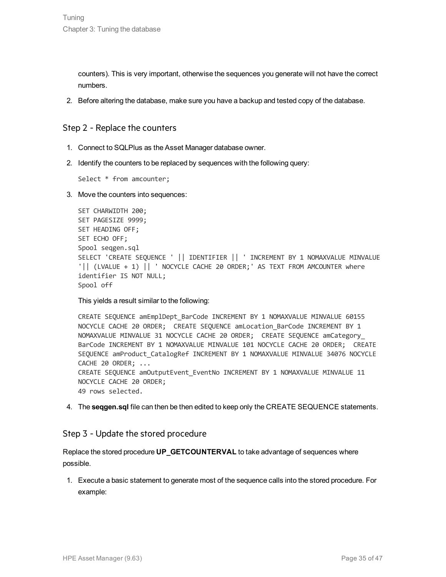counters). This is very important, otherwise the sequences you generate will not have the correct numbers.

2. Before altering the database, make sure you have a backup and tested copy of the database.

#### Step 2 - Replace the counters

- 1. Connect to SQLPlus as the Asset Manager database owner.
- 2. Identify the counters to be replaced by sequences with the following query:

Select \* from amcounter;

3. Move the counters into sequences:

```
SET CHARWIDTH 200;
SET PAGESIZE 9999;
SET HEADING OFF;
SET ECHO OFF;
Spool seqgen.sql
SELECT 'CREATE SEQUENCE ' || IDENTIFIER || ' INCREMENT BY 1 NOMAXVALUE MINVALUE
'|| (LVALUE + 1) || ' NOCYCLE CACHE 20 ORDER;' AS TEXT FROM AMCOUNTER where
identifier IS NOT NULL;
Spool off
```
This yields a result similar to the following:

```
CREATE SEQUENCE amEmplDept_BarCode INCREMENT BY 1 NOMAXVALUE MINVALUE 60155
NOCYCLE CACHE 20 ORDER; CREATE SEOUENCE amLocation BarCode INCREMENT BY 1
NOMAXVALUE MINVALUE 31 NOCYCLE CACHE 20 ORDER; CREATE SEQUENCE amCategory_
BarCode INCREMENT BY 1 NOMAXVALUE MINVALUE 101 NOCYCLE CACHE 20 ORDER; CREATE
SEQUENCE amProduct_CatalogRef INCREMENT BY 1 NOMAXVALUE MINVALUE 34076 NOCYCLE
CACHE 20 ORDER; ...
CREATE SEQUENCE amOutputEvent_EventNo INCREMENT BY 1 NOMAXVALUE MINVALUE 11
NOCYCLE CACHE 20 ORDER;
49 rows selected.
```
4. The **seqgen.sql** file can then be then edited to keep only the CREATE SEQUENCE statements.

#### Step 3 - Update the stored procedure

```
Replace the stored procedure UP_GETCOUNTERVAL to take advantage of sequences where
possible.
```
1. Execute a basic statement to generate most of the sequence calls into the stored procedure. For example: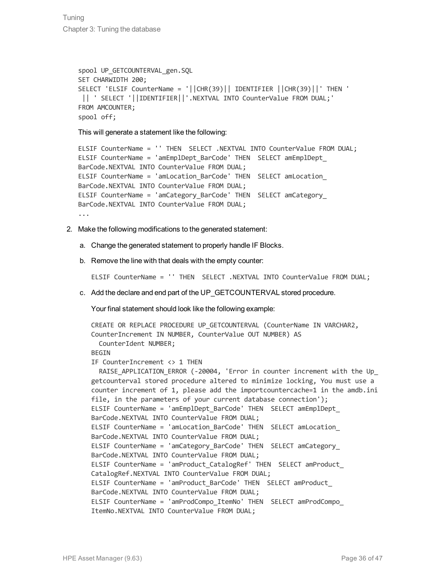```
spool UP GETCOUNTERVAL_gen.SQL
SET CHARWIDTH 200;
SELECT 'ELSIF CounterName = '||CHR(39)|| IDENTIFIER ||CHR(39)||' THEN '
|| ' SELECT '||IDENTIFIER||'.NEXTVAL INTO CounterValue FROM DUAL;'
FROM AMCOUNTER;
spool off;
```
This will generate a statement like the following:

```
ELSIF CounterName = '' THEN SELECT .NEXTVAL INTO CounterValue FROM DUAL;
ELSIF CounterName = 'amEmplDept_BarCode' THEN SELECT amEmplDept_
BarCode.NEXTVAL INTO CounterValue FROM DUAL;
ELSIF CounterName = 'amLocation_BarCode' THEN SELECT amLocation_
BarCode.NEXTVAL INTO CounterValue FROM DUAL;
ELSIF CounterName = 'amCategory_BarCode' THEN SELECT amCategory_
BarCode.NEXTVAL INTO CounterValue FROM DUAL;
...
```
- 2. Make the following modifications to the generated statement:
	- a. Change the generated statement to properly handle IF Blocks.
	- b. Remove the line with that deals with the empty counter:

ELSIF CounterName = '' THEN SELECT .NEXTVAL INTO CounterValue FROM DUAL;

c. Add the declare and end part of the UP\_GETCOUNTERVAL stored procedure.

Your final statement should look like the following example:

```
CREATE OR REPLACE PROCEDURE UP GETCOUNTERVAL (CounterName IN VARCHAR2,
CounterIncrement IN NUMBER, CounterValue OUT NUMBER) AS
  CounterIdent NUMBER;
BEGTN
IF CounterIncrement <> 1 THEN
  RAISE APPLICATION ERROR (-20004, 'Error in counter increment with the Up
getcounterval stored procedure altered to minimize locking, You must use a
counter increment of 1, please add the importcountercache=1 in the amdb.ini
file, in the parameters of your current database connection');
ELSIF CounterName = 'amEmplDept_BarCode' THEN SELECT amEmplDept_
BarCode.NEXTVAL INTO CounterValue FROM DUAL;
ELSIF CounterName = 'amLocation_BarCode' THEN SELECT amLocation_
BarCode.NEXTVAL INTO CounterValue FROM DUAL;
ELSIF CounterName = 'amCategory_BarCode' THEN SELECT amCategory_
BarCode.NEXTVAL INTO CounterValue FROM DUAL;
ELSIF CounterName = 'amProduct CatalogRef' THEN SELECT amProduct
CatalogRef.NEXTVAL INTO CounterValue FROM DUAL;
ELSIF CounterName = 'amProduct_BarCode' THEN SELECT amProduct_
BarCode.NEXTVAL INTO CounterValue FROM DUAL;
ELSIF CounterName = 'amProdCompo_ItemNo' THEN SELECT amProdCompo_
ItemNo.NEXTVAL INTO CounterValue FROM DUAL;
```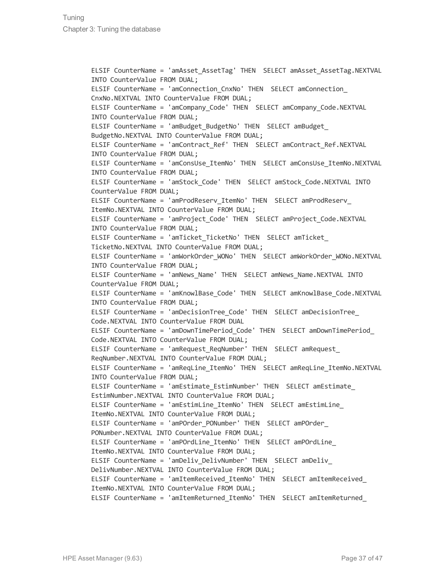ELSIF CounterName = 'amAsset\_AssetTag' THEN SELECT amAsset\_AssetTag.NEXTVAL INTO CounterValue FROM DUAL; ELSIF CounterName = 'amConnection\_CnxNo' THEN SELECT amConnection\_ CnxNo.NEXTVAL INTO CounterValue FROM DUAL; ELSIF CounterName = 'amCompany\_Code' THEN SELECT amCompany\_Code.NEXTVAL INTO CounterValue FROM DUAL; ELSIF CounterName = 'amBudget BudgetNo' THEN SELECT amBudget BudgetNo.NEXTVAL INTO CounterValue FROM DUAL; ELSIF CounterName = 'amContract\_Ref' THEN SELECT amContract\_Ref.NEXTVAL INTO CounterValue FROM DUAL; ELSIF CounterName = 'amConsUse\_ItemNo' THEN SELECT amConsUse\_ItemNo.NEXTVAL INTO CounterValue FROM DUAL; ELSIF CounterName = 'amStock\_Code' THEN SELECT amStock\_Code.NEXTVAL INTO CounterValue FROM DUAL; ELSIF CounterName = 'amProdReserv\_ItemNo' THEN SELECT amProdReserv\_ ItemNo.NEXTVAL INTO CounterValue FROM DUAL; ELSIF CounterName = 'amProject\_Code' THEN SELECT amProject\_Code.NEXTVAL INTO CounterValue FROM DUAL; ELSIF CounterName = 'amTicket TicketNo' THEN SELECT amTicket TicketNo.NEXTVAL INTO CounterValue FROM DUAL; ELSIF CounterName = 'amWorkOrder\_WONo' THEN SELECT amWorkOrder\_WONo.NEXTVAL INTO CounterValue FROM DUAL; ELSIF CounterName = 'amNews\_Name' THEN SELECT amNews\_Name.NEXTVAL INTO CounterValue FROM DUAL; ELSIF CounterName = 'amKnowlBase\_Code' THEN SELECT amKnowlBase\_Code.NEXTVAL INTO CounterValue FROM DUAL; ELSIF CounterName = 'amDecisionTree\_Code' THEN SELECT amDecisionTree\_ Code.NEXTVAL INTO CounterValue FROM DUAL ELSIF CounterName = 'amDownTimePeriod\_Code' THEN SELECT amDownTimePeriod\_ Code.NEXTVAL INTO CounterValue FROM DUAL; ELSIF CounterName = 'amRequest\_ReqNumber' THEN SELECT amRequest\_ ReqNumber.NEXTVAL INTO CounterValue FROM DUAL; ELSIF CounterName = 'amReqLine\_ItemNo' THEN SELECT amReqLine\_ItemNo.NEXTVAL INTO CounterValue FROM DUAL; ELSIF CounterName = 'amEstimate\_EstimNumber' THEN SELECT amEstimate\_ EstimNumber.NEXTVAL INTO CounterValue FROM DUAL; ELSIF CounterName = 'amEstimLine\_ItemNo' THEN SELECT amEstimLine\_ ItemNo.NEXTVAL INTO CounterValue FROM DUAL; ELSIF CounterName = 'amPOrder\_PONumber' THEN SELECT amPOrder\_ PONumber.NEXTVAL INTO CounterValue FROM DUAL; ELSIF CounterName = 'amPOrdLine\_ItemNo' THEN SELECT amPOrdLine\_ ItemNo.NEXTVAL INTO CounterValue FROM DUAL; ELSIF CounterName = 'amDeliv DelivNumber' THEN SELECT amDeliv DelivNumber.NEXTVAL INTO CounterValue FROM DUAL; ELSIF CounterName = 'amItemReceived\_ItemNo' THEN SELECT amItemReceived\_ ItemNo.NEXTVAL INTO CounterValue FROM DUAL; ELSIF CounterName = 'amItemReturned\_ItemNo' THEN SELECT amItemReturned\_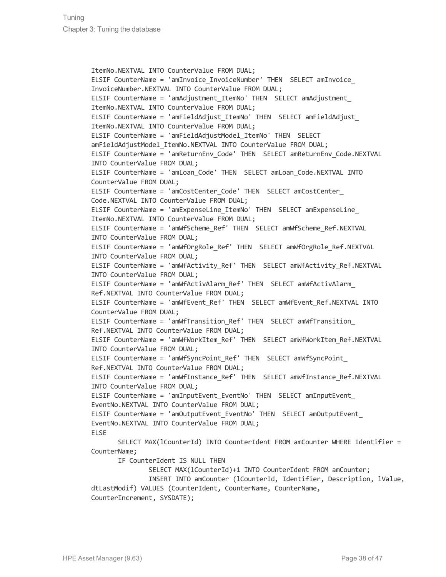ItemNo.NEXTVAL INTO CounterValue FROM DUAL; ELSIF CounterName = 'amInvoice InvoiceNumber' THEN SELECT amInvoice InvoiceNumber.NEXTVAL INTO CounterValue FROM DUAL; ELSIF CounterName = 'amAdjustment\_ItemNo' THEN SELECT amAdjustment\_ ItemNo.NEXTVAL INTO CounterValue FROM DUAL; ELSIF CounterName = 'amFieldAdjust\_ItemNo' THEN SELECT amFieldAdjust\_ ItemNo.NEXTVAL INTO CounterValue FROM DUAL; ELSIF CounterName = 'amFieldAdjustModel\_ItemNo' THEN SELECT amFieldAdjustModel ItemNo.NEXTVAL INTO CounterValue FROM DUAL; ELSIF CounterName = 'amReturnEnv\_Code' THEN SELECT amReturnEnv\_Code.NEXTVAL INTO CounterValue FROM DUAL; ELSIF CounterName = 'amLoan\_Code' THEN SELECT amLoan\_Code.NEXTVAL INTO CounterValue FROM DUAL; ELSIF CounterName = 'amCostCenter Code' THEN SELECT amCostCenter Code.NEXTVAL INTO CounterValue FROM DUAL; ELSIF CounterName = 'amExpenseLine\_ItemNo' THEN SELECT amExpenseLine\_ ItemNo.NEXTVAL INTO CounterValue FROM DUAL; ELSIF CounterName = 'amWfScheme\_Ref' THEN SELECT amWfScheme\_Ref.NEXTVAL INTO CounterValue FROM DUAL; ELSIF CounterName = 'amWfOrgRole\_Ref' THEN SELECT amWfOrgRole\_Ref.NEXTVAL INTO CounterValue FROM DUAL; ELSIF CounterName = 'amWfActivity\_Ref' THEN SELECT amWfActivity\_Ref.NEXTVAL INTO CounterValue FROM DUAL; ELSIF CounterName = 'amWfActivAlarm Ref' THEN SELECT amWfActivAlarm Ref.NEXTVAL INTO CounterValue FROM DUAL; ELSIF CounterName = 'amWfEvent\_Ref' THEN SELECT amWfEvent\_Ref.NEXTVAL INTO CounterValue FROM DUAL; ELSIF CounterName = 'amWfTransition Ref' THEN SELECT amWfTransition Ref.NEXTVAL INTO CounterValue FROM DUAL; ELSIF CounterName = 'amWfWorkItem\_Ref' THEN SELECT amWfWorkItem\_Ref.NEXTVAL INTO CounterValue FROM DUAL; ELSIF CounterName = 'amWfSyncPoint\_Ref' THEN SELECT amWfSyncPoint\_ Ref.NEXTVAL INTO CounterValue FROM DUAL; ELSIF CounterName = 'amWfInstance\_Ref' THEN SELECT amWfInstance\_Ref.NEXTVAL INTO CounterValue FROM DUAL; ELSIF CounterName = 'amInputEvent\_EventNo' THEN SELECT amInputEvent\_ EventNo.NEXTVAL INTO CounterValue FROM DUAL; ELSIF CounterName = 'amOutputEvent\_EventNo' THEN SELECT amOutputEvent\_ EventNo.NEXTVAL INTO CounterValue FROM DUAL; ELSE SELECT MAX(lCounterId) INTO CounterIdent FROM amCounter WHERE Identifier = CounterName; IF CounterIdent IS NULL THEN SELECT MAX(lCounterId)+1 INTO CounterIdent FROM amCounter; INSERT INTO amCounter (lCounterId, Identifier, Description, lValue,

dtLastModif) VALUES (CounterIdent, CounterName, CounterName, CounterIncrement, SYSDATE);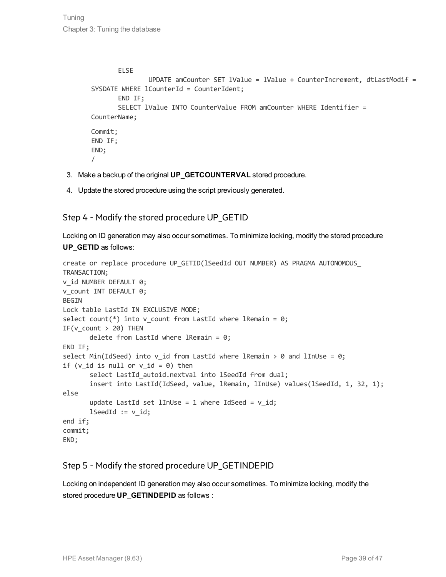```
ELSE
               UPDATE amCounter SET lValue = lValue + CounterIncrement, dtLastModif =
SYSDATE WHERE 1CounterId = CounterIdent;
       END IF;
       SELECT lValue INTO CounterValue FROM amCounter WHERE Identifier =
CounterName;
Commit;
END IF;
END;
/
```
- 3. Make a backup of the original **UP\_GETCOUNTERVAL** stored procedure.
- 4. Update the stored procedure using the script previously generated.

#### Step 4 - Modify the stored procedure UP\_GETID

Locking on ID generation may also occur sometimes. To minimize locking, modify the stored procedure **UP\_GETID** as follows:

```
create or replace procedure UP_GETID(lSeedId OUT NUMBER) AS PRAGMA AUTONOMOUS_
TRANSACTION;
v id NUMBER DEFAULT 0;
v count INT DEFAULT 0;
BEGIN
Lock table LastId IN EXCLUSIVE MODE;
select count(*) into v count from LastId where lRemain = 0;
IF(v count > 20) THEN
      delete from LastId where lRemain = 0;
END IF;
select Min(IdSeed) into v_id from LastId where lRemain > 0 and lInUse = 0;
if (v id is null or v id = 0) then
       select LastId autoid.nextval into lSeedId from dual;
       insert into LastId(IdSeed, value, lRemain, lInUse) values(lSeedId, 1, 32, 1);
else
       update LastId set lInUse = 1 where IdSeed = v id;
      lSeedId := v id;end if;
commit;
END;
```
### Step 5 - Modify the stored procedure UP\_GETINDEPID

Locking on independent ID generation may also occur sometimes. To minimize locking, modify the stored procedure **UP\_GETINDEPID** as follows :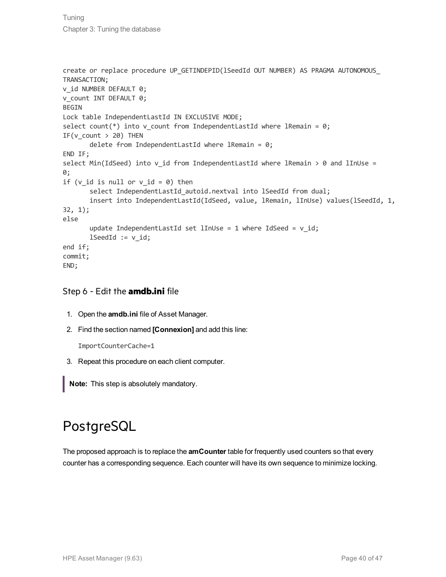```
create or replace procedure UP_GETINDEPID(lSeedId OUT NUMBER) AS PRAGMA AUTONOMOUS_
TRANSACTION;
v id NUMBER DEFAULT 0;
v count INT DEFAULT 0;
BEGIN
Lock table IndependentLastId IN EXCLUSIVE MODE;
select count(*) into v count from IndependentLastId where lRemain = 0;
IF(v count > 20) THEN
       delete from IndependentLastId where lRemain = 0;
END IF;
select Min(IdSeed) into v id from IndependentLastId where lRemain > 0 and lInUse =
0;
if (v id is null or v id = 0) then
       select IndependentLastId autoid.nextval into lSeedId from dual;
       insert into IndependentLastId(IdSeed, value, lRemain, lInUse) values(lSeedId, 1,
32, 1);
else
       update IndependentLastId set lInUse = 1 where IdSeed = v id;
       lSeedId := v id;end if;
commit;
END;
```
### Step 6 - Edit the **amdb.ini** file

- 1. Open the **amdb.ini** file of Asset Manager.
- 2. Find the section named **[Connexion]** and add this line:

ImportCounterCache=1

3. Repeat this procedure on each client computer.

<span id="page-39-0"></span>**Note:** This step is absolutely mandatory.

### PostgreSQL

The proposed approach is to replace the **amCounter** table for frequently used counters so that every counter has a corresponding sequence. Each counter will have its own sequence to minimize locking.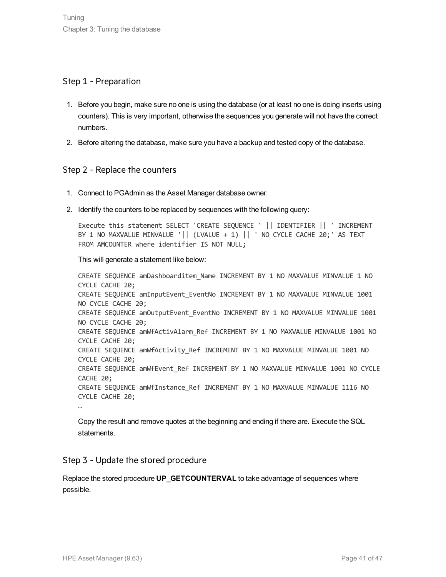#### Step 1 - Preparation

- 1. Before you begin, make sure no one is using the database (or at least no one is doing inserts using counters). This is very important, otherwise the sequences you generate will not have the correct numbers.
- 2. Before altering the database, make sure you have a backup and tested copy of the database.

#### Step 2 - Replace the counters

- 1. Connect to PGAdmin as the Asset Manager database owner.
- 2. Identify the counters to be replaced by sequences with the following query:

Execute this statement SELECT 'CREATE SEQUENCE ' || IDENTIFIER || ' INCREMENT BY 1 NO MAXVALUE MINVALUE '|| (LVALUE + 1) || ' NO CYCLE CACHE 20;' AS TEXT FROM AMCOUNTER where identifier IS NOT NULL;

#### This will generate a statement like below:

CREATE SEQUENCE amDashboarditem\_Name INCREMENT BY 1 NO MAXVALUE MINVALUE 1 NO CYCLE CACHE 20; CREATE SEQUENCE amInputEvent\_EventNo INCREMENT BY 1 NO MAXVALUE MINVALUE 1001 NO CYCLE CACHE 20; CREATE SEQUENCE amOutputEvent EventNo INCREMENT BY 1 NO MAXVALUE MINVALUE 1001 NO CYCLE CACHE 20; CREATE SEQUENCE amWfActivAlarm\_Ref INCREMENT BY 1 NO MAXVALUE MINVALUE 1001 NO CYCLE CACHE 20; CREATE SEQUENCE amWfActivity\_Ref INCREMENT BY 1 NO MAXVALUE MINVALUE 1001 NO CYCLE CACHE 20; CREATE SEQUENCE amWfEvent Ref INCREMENT BY 1 NO MAXVALUE MINVALUE 1001 NO CYCLE CACHE 20; CREATE SEQUENCE amWfInstance Ref INCREMENT BY 1 NO MAXVALUE MINVALUE 1116 NO CYCLE CACHE 20; …

Copy the result and remove quotes at the beginning and ending if there are. Execute the SQL statements.

#### Step 3 - Update the stored procedure

Replace the stored procedure **UP\_GETCOUNTERVAL** to take advantage of sequences where possible.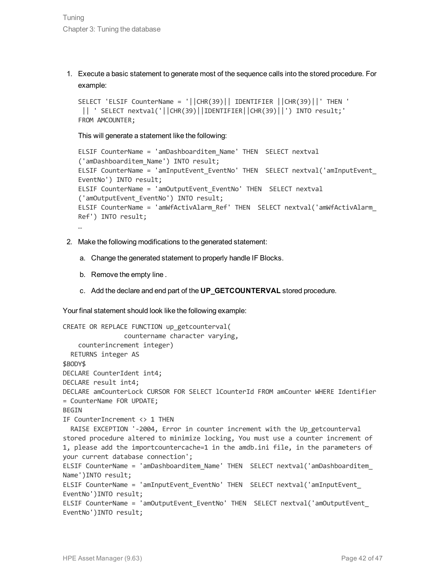1. Execute a basic statement to generate most of the sequence calls into the stored procedure. For example:

```
SELECT 'ELSIF CounterName = '||CHR(39)|| IDENTIFIER ||CHR(39)||' THEN '
 || ' SELECT nextval('||CHR(39)||IDENTIFIER||CHR(39)||') INTO result;'
FROM AMCOUNTER;
```
This will generate a statement like the following:

```
ELSIF CounterName = 'amDashboarditem_Name' THEN SELECT nextval
('amDashboarditem_Name') INTO result;
ELSIF CounterName = 'amInputEvent_EventNo' THEN SELECT nextval('amInputEvent_
EventNo') INTO result;
ELSIF CounterName = 'amOutputEvent_EventNo' THEN SELECT nextval
('amOutputEvent_EventNo') INTO result;
ELSIF CounterName = 'amWfActivAlarm_Ref' THEN SELECT nextval('amWfActivAlarm_
Ref') INTO result;
…
```
- 2. Make the following modifications to the generated statement:
	- a. Change the generated statement to properly handle IF Blocks.
	- b. Remove the empty line .
	- c. Add the declare and end part of the **UP\_GETCOUNTERVAL** stored procedure.

Your final statement should look like the following example:

```
CREATE OR REPLACE FUNCTION up_getcounterval(
                countername character varying,
    counterincrement integer)
  RETURNS integer AS
$BODY$
DECLARE CounterIdent int4;
DECLARE result int4;
DECLARE amCounterLock CURSOR FOR SELECT lCounterId FROM amCounter WHERE Identifier
= CounterName FOR UPDATE;
BEGIN
IF CounterIncrement <> 1 THEN
 RAISE EXCEPTION '-2004, Error in counter increment with the Up getcounterval
stored procedure altered to minimize locking, You must use a counter increment of
1, please add the importcountercache=1 in the amdb.ini file, in the parameters of
your current database connection';
ELSIF CounterName = 'amDashboarditem_Name' THEN SELECT nextval('amDashboarditem_
Name')INTO result;
ELSIF CounterName = 'amInputEvent_EventNo' THEN SELECT nextval('amInputEvent_
EventNo')INTO result;
ELSIF CounterName = 'amOutputEvent_EventNo' THEN SELECT nextval('amOutputEvent_
EventNo')INTO result;
```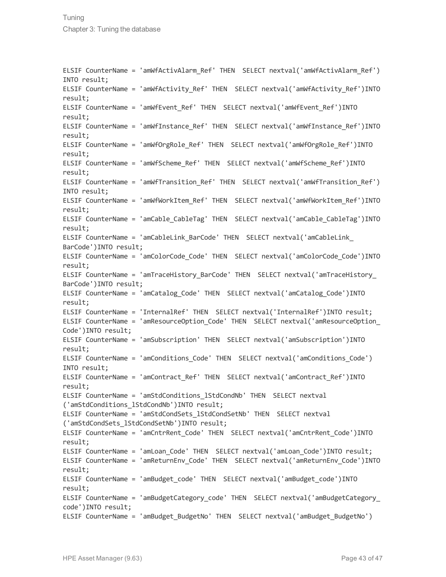ELSIF CounterName = 'amWfActivAlarm\_Ref' THEN SELECT nextval('amWfActivAlarm\_Ref') INTO result; ELSIF CounterName = 'amWfActivity Ref' THEN SELECT nextval('amWfActivity Ref')INTO result; ELSIF CounterName = 'amWfEvent\_Ref' THEN SELECT nextval('amWfEvent\_Ref')INTO result; ELSIF CounterName = 'amWfInstance\_Ref' THEN SELECT nextval('amWfInstance\_Ref')INTO result; ELSIF CounterName = 'amWfOrgRole\_Ref' THEN SELECT nextval('amWfOrgRole\_Ref')INTO result; ELSIF CounterName = 'amWfScheme\_Ref' THEN SELECT nextval('amWfScheme\_Ref')INTO result; ELSIF CounterName = 'amWfTransition\_Ref' THEN SELECT nextval('amWfTransition\_Ref') INTO result; ELSIF CounterName = 'amWfWorkItem\_Ref' THEN SELECT nextval('amWfWorkItem\_Ref')INTO result; ELSIF CounterName = 'amCable\_CableTag' THEN SELECT nextval('amCable\_CableTag')INTO result; ELSIF CounterName = 'amCableLink\_BarCode' THEN SELECT nextval('amCableLink\_ BarCode')INTO result; ELSIF CounterName = 'amColorCode\_Code' THEN SELECT nextval('amColorCode\_Code')INTO result; ELSIF CounterName = 'amTraceHistory\_BarCode' THEN SELECT nextval('amTraceHistory\_ BarCode')INTO result; ELSIF CounterName = 'amCatalog\_Code' THEN SELECT nextval('amCatalog\_Code')INTO result; ELSIF CounterName = 'InternalRef' THEN SELECT nextval('InternalRef')INTO result; ELSIF CounterName = 'amResourceOption\_Code' THEN SELECT nextval('amResourceOption\_ Code')INTO result; ELSIF CounterName = 'amSubscription' THEN SELECT nextval('amSubscription')INTO result; ELSIF CounterName = 'amConditions\_Code' THEN SELECT nextval('amConditions\_Code') INTO result; ELSIF CounterName = 'amContract\_Ref' THEN SELECT nextval('amContract\_Ref')INTO result; ELSIF CounterName = 'amStdConditions\_lStdCondNb' THEN SELECT nextval ('amStdConditions\_lStdCondNb')INTO result; ELSIF CounterName = 'amStdCondSets\_lStdCondSetNb' THEN SELECT nextval ('amStdCondSets\_lStdCondSetNb')INTO result; ELSIF CounterName = 'amCntrRent\_Code' THEN SELECT nextval('amCntrRent\_Code')INTO result; ELSIF CounterName = 'amLoan\_Code' THEN SELECT nextval('amLoan\_Code')INTO result; ELSIF CounterName = 'amReturnEnv\_Code' THEN SELECT nextval('amReturnEnv\_Code')INTO result; ELSIF CounterName = 'amBudget\_code' THEN SELECT nextval('amBudget\_code')INTO result; ELSIF CounterName = 'amBudgetCategory\_code' THEN SELECT nextval('amBudgetCategory\_ code')INTO result; ELSIF CounterName = 'amBudget BudgetNo' THEN SELECT nextval('amBudget BudgetNo')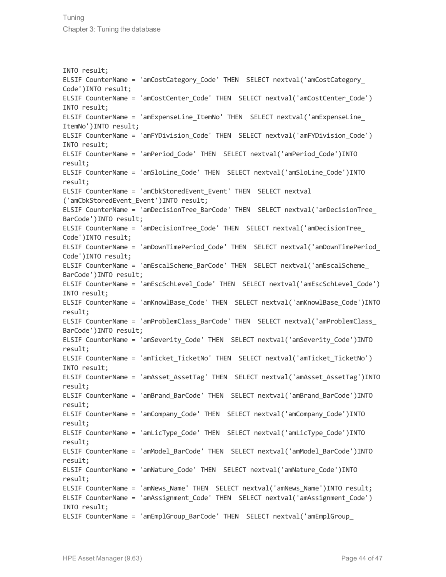INTO result; ELSIF CounterName = 'amCostCategory Code' THEN SELECT nextval('amCostCategory Code')INTO result; ELSIF CounterName = 'amCostCenter\_Code' THEN SELECT nextval('amCostCenter\_Code') INTO result; ELSIF CounterName = 'amExpenseLine\_ItemNo' THEN SELECT nextval('amExpenseLine\_ ItemNo')INTO result; ELSIF CounterName = 'amFYDivision\_Code' THEN SELECT nextval('amFYDivision\_Code') INTO result; ELSIF CounterName = 'amPeriod\_Code' THEN SELECT nextval('amPeriod\_Code')INTO result; ELSIF CounterName = 'amSloLine\_Code' THEN SELECT nextval('amSloLine\_Code')INTO result; ELSIF CounterName = 'amCbkStoredEvent\_Event' THEN SELECT nextval ('amCbkStoredEvent\_Event')INTO result; ELSIF CounterName = 'amDecisionTree\_BarCode' THEN SELECT nextval('amDecisionTree\_ BarCode')INTO result; ELSIF CounterName = 'amDecisionTree\_Code' THEN SELECT nextval('amDecisionTree\_ Code')INTO result; ELSIF CounterName = 'amDownTimePeriod\_Code' THEN SELECT nextval('amDownTimePeriod\_ Code')INTO result; ELSIF CounterName = 'amEscalScheme\_BarCode' THEN SELECT nextval('amEscalScheme\_ BarCode')INTO result; ELSIF CounterName = 'amEscSchLevel\_Code' THEN SELECT nextval('amEscSchLevel\_Code') INTO result; ELSIF CounterName = 'amKnowlBase\_Code' THEN SELECT nextval('amKnowlBase\_Code')INTO result; ELSIF CounterName = 'amProblemClass\_BarCode' THEN SELECT nextval('amProblemClass\_ BarCode')INTO result; ELSIF CounterName = 'amSeverity\_Code' THEN SELECT nextval('amSeverity\_Code')INTO result; ELSIF CounterName = 'amTicket TicketNo' THEN SELECT nextval('amTicket TicketNo') INTO result; ELSIF CounterName = 'amAsset\_AssetTag' THEN SELECT nextval('amAsset\_AssetTag')INTO result; ELSIF CounterName = 'amBrand\_BarCode' THEN SELECT nextval('amBrand\_BarCode')INTO result; ELSIF CounterName = 'amCompany\_Code' THEN SELECT nextval('amCompany\_Code')INTO result; ELSIF CounterName = 'amLicType\_Code' THEN SELECT nextval('amLicType\_Code')INTO result; ELSIF CounterName = 'amModel\_BarCode' THEN SELECT nextval('amModel\_BarCode')INTO result; ELSIF CounterName = 'amNature\_Code' THEN SELECT nextval('amNature\_Code')INTO result; ELSIF CounterName = 'amNews\_Name' THEN SELECT nextval('amNews\_Name')INTO result; ELSIF CounterName = 'amAssignment\_Code' THEN SELECT nextval('amAssignment\_Code') INTO result; ELSIF CounterName = 'amEmplGroup BarCode' THEN SELECT nextval('amEmplGroup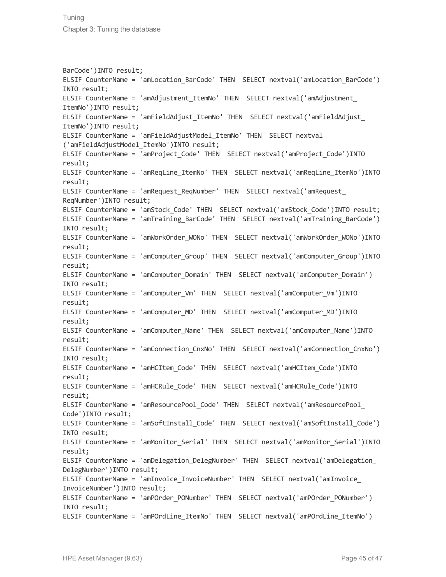BarCode')INTO result; ELSIF CounterName = 'amLocation\_BarCode' THEN SELECT nextval('amLocation\_BarCode') INTO result; ELSIF CounterName = 'amAdjustment\_ItemNo' THEN SELECT nextval('amAdjustment\_ ItemNo')INTO result; ELSIF CounterName = 'amFieldAdjust\_ItemNo' THEN SELECT nextval('amFieldAdjust\_ ItemNo')INTO result; ELSIF CounterName = 'amFieldAdjustModel\_ItemNo' THEN SELECT nextval ('amFieldAdjustModel\_ItemNo')INTO result; ELSIF CounterName = 'amProject\_Code' THEN SELECT nextval('amProject\_Code')INTO result; ELSIF CounterName = 'amReqLine\_ItemNo' THEN SELECT nextval('amReqLine\_ItemNo')INTO result; ELSIF CounterName = 'amRequest\_ReqNumber' THEN SELECT nextval('amRequest\_ ReqNumber')INTO result; ELSIF CounterName = 'amStock\_Code' THEN SELECT nextval('amStock\_Code')INTO result; ELSIF CounterName = 'amTraining\_BarCode' THEN SELECT nextval('amTraining\_BarCode') INTO result; ELSIF CounterName = 'amWorkOrder\_WONo' THEN SELECT nextval('amWorkOrder\_WONo')INTO result; ELSIF CounterName = 'amComputer\_Group' THEN SELECT nextval('amComputer\_Group')INTO result; ELSIF CounterName = 'amComputer Domain' THEN SELECT nextval('amComputer Domain') INTO result; ELSIF CounterName = 'amComputer\_Vm' THEN SELECT nextval('amComputer\_Vm')INTO result; ELSIF CounterName = 'amComputer\_MD' THEN SELECT nextval('amComputer\_MD')INTO result; ELSIF CounterName = 'amComputer\_Name' THEN SELECT nextval('amComputer\_Name')INTO result; ELSIF CounterName = 'amConnection\_CnxNo' THEN SELECT nextval('amConnection\_CnxNo') INTO result; ELSIF CounterName = 'amHCItem\_Code' THEN SELECT nextval('amHCItem\_Code')INTO result; ELSIF CounterName = 'amHCRule\_Code' THEN SELECT nextval('amHCRule\_Code')INTO result; ELSIF CounterName = 'amResourcePool\_Code' THEN SELECT nextval('amResourcePool\_ Code')INTO result; ELSIF CounterName = 'amSoftInstall\_Code' THEN SELECT nextval('amSoftInstall\_Code') INTO result; ELSIF CounterName = 'amMonitor\_Serial' THEN SELECT nextval('amMonitor\_Serial')INTO result; ELSIF CounterName = 'amDelegation\_DelegNumber' THEN SELECT nextval('amDelegation\_ DelegNumber')INTO result; ELSIF CounterName = 'amInvoice\_InvoiceNumber' THEN SELECT nextval('amInvoice\_ InvoiceNumber')INTO result; ELSIF CounterName = 'amPOrder\_PONumber' THEN SELECT nextval('amPOrder\_PONumber') INTO result; ELSIF CounterName = 'amPOrdLine\_ItemNo' THEN SELECT nextval('amPOrdLine\_ItemNo')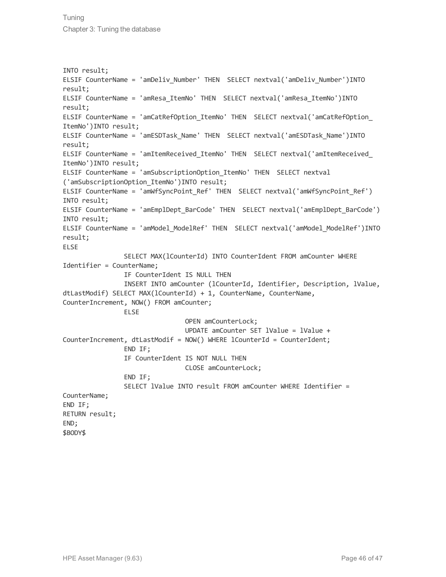INTO result; ELSIF CounterName = 'amDeliv\_Number' THEN SELECT nextval('amDeliv\_Number')INTO result; ELSIF CounterName = 'amResa\_ItemNo' THEN SELECT nextval('amResa\_ItemNo')INTO result; ELSIF CounterName = 'amCatRefOption\_ItemNo' THEN SELECT nextval('amCatRefOption\_ ItemNo')INTO result; ELSIF CounterName = 'amESDTask\_Name' THEN SELECT nextval('amESDTask\_Name')INTO result; ELSIF CounterName = 'amItemReceived\_ItemNo' THEN SELECT nextval('amItemReceived\_ ItemNo')INTO result; ELSIF CounterName = 'amSubscriptionOption\_ItemNo' THEN SELECT nextval ('amSubscriptionOption\_ItemNo')INTO result; ELSIF CounterName = 'amWfSyncPoint\_Ref' THEN SELECT nextval('amWfSyncPoint\_Ref') INTO result; ELSIF CounterName = 'amEmplDept\_BarCode' THEN SELECT nextval('amEmplDept\_BarCode') INTO result; ELSIF CounterName = 'amModel\_ModelRef' THEN SELECT nextval('amModel\_ModelRef')INTO result; ELSE SELECT MAX(lCounterId) INTO CounterIdent FROM amCounter WHERE Identifier = CounterName; IF CounterIdent IS NULL THEN INSERT INTO amCounter (lCounterId, Identifier, Description, lValue, dtLastModif) SELECT MAX(lCounterId) + 1, CounterName, CounterName, CounterIncrement, NOW() FROM amCounter; ELSE OPEN amCounterLock; UPDATE amCounter SET lValue = lValue + CounterIncrement, dtLastModif = NOW() WHERE lCounterId = CounterIdent; END IF; IF CounterIdent IS NOT NULL THEN CLOSE amCounterLock; END IF; SELECT lValue INTO result FROM amCounter WHERE Identifier = CounterName; END IF; RETURN result; END; \$BODY\$